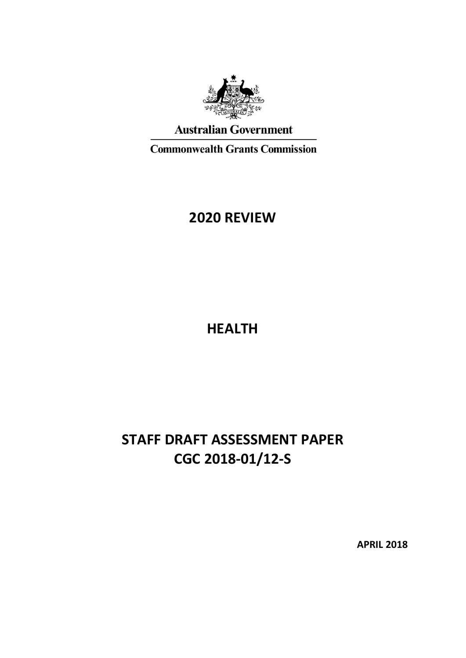

**Australian Government** 

**Commonwealth Grants Commission** 

# **2020 REVIEW**

**HEALTH**

# **STAFF DRAFT ASSESSMENT PAPER CGC 2018-01/12-S**

**APRIL 2018**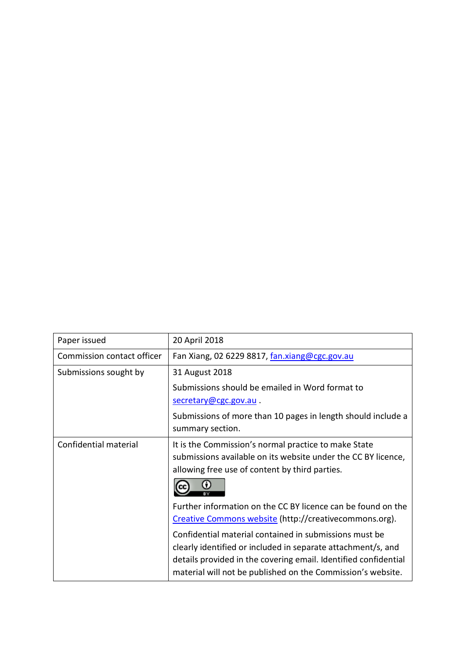| Paper issued               | 20 April 2018                                                                                                                                                                                                                                            |
|----------------------------|----------------------------------------------------------------------------------------------------------------------------------------------------------------------------------------------------------------------------------------------------------|
| Commission contact officer | Fan Xiang, 02 6229 8817, fan.xiang@cgc.gov.au                                                                                                                                                                                                            |
| Submissions sought by      | 31 August 2018                                                                                                                                                                                                                                           |
|                            | Submissions should be emailed in Word format to                                                                                                                                                                                                          |
|                            | secretary@cgc.gov.au.                                                                                                                                                                                                                                    |
|                            | Submissions of more than 10 pages in length should include a<br>summary section.                                                                                                                                                                         |
| Confidential material      | It is the Commission's normal practice to make State<br>submissions available on its website under the CC BY licence,<br>allowing free use of content by third parties.                                                                                  |
|                            | Further information on the CC BY licence can be found on the<br>Creative Commons website (http://creativecommons.org).                                                                                                                                   |
|                            | Confidential material contained in submissions must be<br>clearly identified or included in separate attachment/s, and<br>details provided in the covering email. Identified confidential<br>material will not be published on the Commission's website. |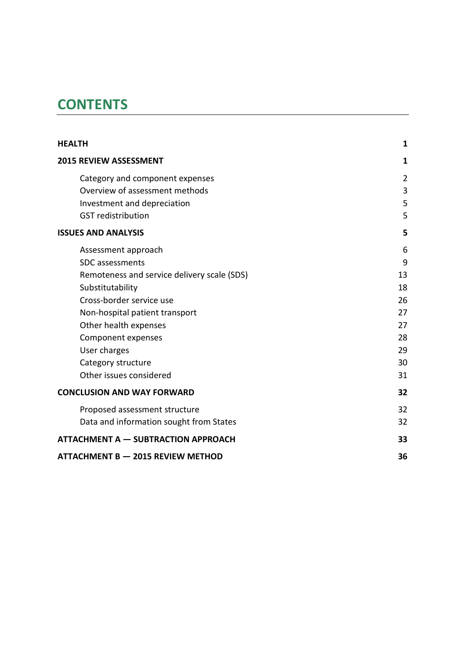# **CONTENTS**

| <b>HEALTH</b>                               | 1              |
|---------------------------------------------|----------------|
| <b>2015 REVIEW ASSESSMENT</b>               | 1              |
| Category and component expenses             | $\overline{2}$ |
| Overview of assessment methods              | 3              |
| Investment and depreciation                 | 5              |
| <b>GST</b> redistribution                   | 5              |
| <b>ISSUES AND ANALYSIS</b>                  | 5              |
| Assessment approach                         | 6              |
| <b>SDC</b> assessments                      | 9              |
| Remoteness and service delivery scale (SDS) | 13             |
| Substitutability                            | 18             |
| Cross-border service use                    | 26             |
| Non-hospital patient transport              | 27             |
| Other health expenses                       | 27             |
| Component expenses                          | 28             |
| User charges                                | 29             |
| Category structure                          | 30             |
| Other issues considered                     | 31             |
| <b>CONCLUSION AND WAY FORWARD</b>           | 32             |
| Proposed assessment structure               | 32             |
| Data and information sought from States     | 32             |
| <b>ATTACHMENT A - SUBTRACTION APPROACH</b>  | 33             |
| <b>ATTACHMENT B - 2015 REVIEW METHOD</b>    | 36             |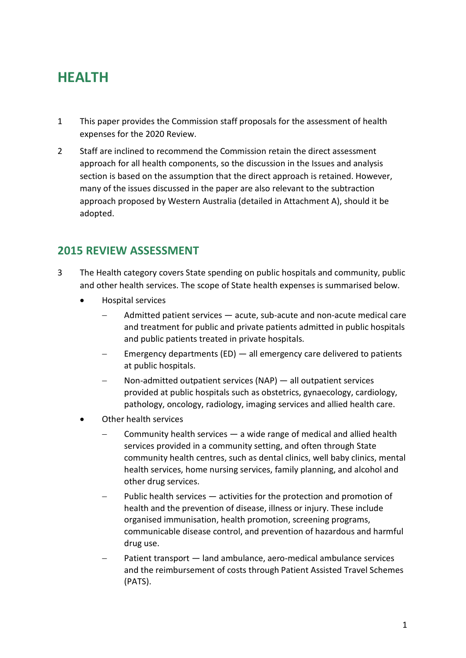# <span id="page-3-0"></span>**HEALTH**

- 1 This paper provides the Commission staff proposals for the assessment of health expenses for the 2020 Review.
- 2 Staff are inclined to recommend the Commission retain the direct assessment approach for all health components, so the discussion in the [Issues and analysis](#page-7-2) section is based on the assumption that the direct approach is retained. However, many of the issues discussed in the paper are also relevant to the subtraction approach proposed by Western Australia (detailed in Attachment A), should it be adopted.

# <span id="page-3-1"></span>**2015 REVIEW ASSESSMENT**

- 3 The Health category covers State spending on public hospitals and community, public and other health services. The scope of State health expenses is summarised below.
	- Hospital services
		- Admitted patient services acute, sub-acute and non-acute medical care and treatment for public and private patients admitted in public hospitals and public patients treated in private hospitals.
		- Emergency departments (ED) all emergency care delivered to patients at public hospitals.
		- Non-admitted outpatient services (NAP) all outpatient services provided at public hospitals such as obstetrics, gynaecology, cardiology, pathology, oncology, radiology, imaging services and allied health care.
	- Other health services
		- − Community health services a wide range of medical and allied health services provided in a community setting, and often through State community health centres, such as dental clinics, well baby clinics, mental health services, home nursing services, family planning, and alcohol and other drug services.
		- Public health services activities for the protection and promotion of health and the prevention of disease, illness or injury. These include organised immunisation, health promotion, screening programs, communicable disease control, and prevention of hazardous and harmful drug use.
		- Patient transport land ambulance, aero-medical ambulance services and the reimbursement of costs through Patient Assisted Travel Schemes (PATS).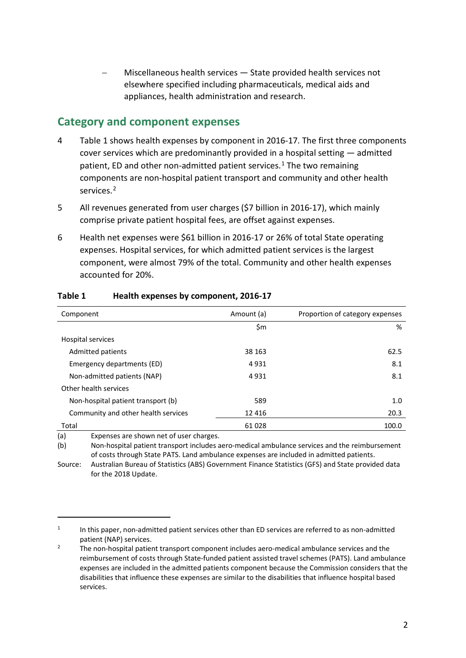− Miscellaneous health services — State provided health services not elsewhere specified including pharmaceuticals, medical aids and appliances, health administration and research.

### <span id="page-4-0"></span>**Category and component expenses**

- 4 [Table 1](#page-4-1) shows health expenses by component in 2016-17. The first three components cover services which are predominantly provided in a hospital setting — admitted patient, ED and other non-admitted patient services. [1](#page-4-2) The two remaining components are non-hospital patient transport and community and other health services. [2](#page-4-3)
- 5 All revenues generated from user charges (\$7 billion in 2016-17), which mainly comprise private patient hospital fees, are offset against expenses.
- 6 Health net expenses were \$61 billion in 2016-17 or 26% of total State operating expenses. Hospital services, for which admitted patient services is the largest component, were almost 79% of the total. Community and other health expenses accounted for 20%.

| Component                           | Amount (a) | Proportion of category expenses |
|-------------------------------------|------------|---------------------------------|
|                                     | \$m        | %                               |
| Hospital services                   |            |                                 |
| <b>Admitted patients</b>            | 38 163     | 62.5                            |
| Emergency departments (ED)          | 4931       | 8.1                             |
| Non-admitted patients (NAP)         | 4931       | 8.1                             |
| Other health services               |            |                                 |
| Non-hospital patient transport (b)  | 589        | 1.0                             |
| Community and other health services | 12 4 16    | 20.3                            |
| Total                               | 61 028     | 100.0                           |

#### <span id="page-4-1"></span>**Table 1 Health expenses by component, 2016-17**

(a) Expenses are shown net of user charges.

 $\overline{a}$ 

(b) Non-hospital patient transport includes aero-medical ambulance services and the reimbursement of costs through State PATS. Land ambulance expenses are included in admitted patients.

Source: Australian Bureau of Statistics (ABS) Government Finance Statistics (GFS) and State provided data for the 2018 Update.

<span id="page-4-2"></span> $1$  In this paper, non-admitted patient services other than ED services are referred to as non-admitted patient (NAP) services.

<span id="page-4-3"></span> $2^2$  The non-hospital patient transport component includes aero-medical ambulance services and the reimbursement of costs through State-funded patient assisted travel schemes (PATS). Land ambulance expenses are included in the admitted patients component because the Commission considers that the disabilities that influence these expenses are similar to the disabilities that influence hospital based services.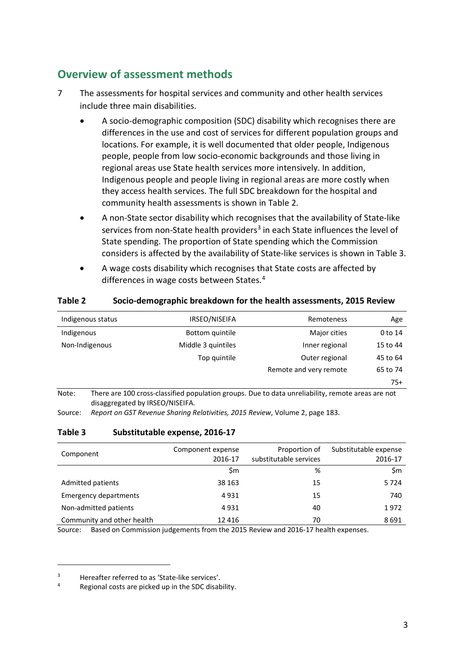# <span id="page-5-0"></span>**Overview of assessment methods**

- 7 The assessments for hospital services and community and other health services include three main disabilities.
	- A socio-demographic composition (SDC) disability which recognises there are differences in the use and cost of services for different population groups and locations. For example, it is well documented that older people, Indigenous people, people from low socio-economic backgrounds and those living in regional areas use State health services more intensively. In addition, Indigenous people and people living in regional areas are more costly when they access health services. The full SDC breakdown for the hospital and community health assessments is shown in [Table 2.](#page-5-1)
	- A non-State sector disability which recognises that the availability of State-like services from non-State health providers<sup>[3](#page-5-3)</sup> in each State influences the level of State spending. The proportion of State spending which the Commission considers is affected by the availability of State-like services is shown in [Table 3.](#page-5-2)
	- A wage costs disability which recognises that State costs are affected by differences in wage costs between States.<sup>[4](#page-5-4)</sup>

#### <span id="page-5-1"></span>**Table 2 Socio-demographic breakdown for the health assessments, 2015 Review**

| Indigenous status | IRSEO/NISEIFA      | Remoteness             | Age      |
|-------------------|--------------------|------------------------|----------|
| Indigenous        | Bottom quintile    | Major cities           | 0 to 14  |
| Non-Indigenous    | Middle 3 quintiles | Inner regional         | 15 to 44 |
|                   | Top quintile       | Outer regional         | 45 to 64 |
|                   |                    | Remote and very remote | 65 to 74 |
|                   |                    |                        | $75+$    |

Note: There are 100 cross-classified population groups. Due to data unreliability, remote areas are not disaggregated by IRSEO/NISEIFA.

<span id="page-5-2"></span>Source: *Report on GST Revenue Sharing Relativities, 2015 Review*, Volume 2, page 183.

#### **Table 3 Substitutable expense, 2016-17**

| Component                    | Component expense<br>2016-17 | Proportion of<br>substitutable services | Substitutable expense<br>2016-17 |
|------------------------------|------------------------------|-----------------------------------------|----------------------------------|
|                              | \$m                          | %                                       | \$m                              |
| Admitted patients            | 38 163                       | 15                                      | 5724                             |
| <b>Emergency departments</b> | 4931                         | 15                                      | 740                              |
| Non-admitted patients        | 4931                         | 40                                      | 1972                             |
| Community and other health   | 12 4 16                      | 70                                      | 8691                             |

Source: Based on Commission judgements from the 2015 Review and 2016-17 health expenses.

<span id="page-5-3"></span> $3$  Hereafter referred to as 'State-like services'.

<span id="page-5-4"></span>Regional costs are picked up in the SDC disability.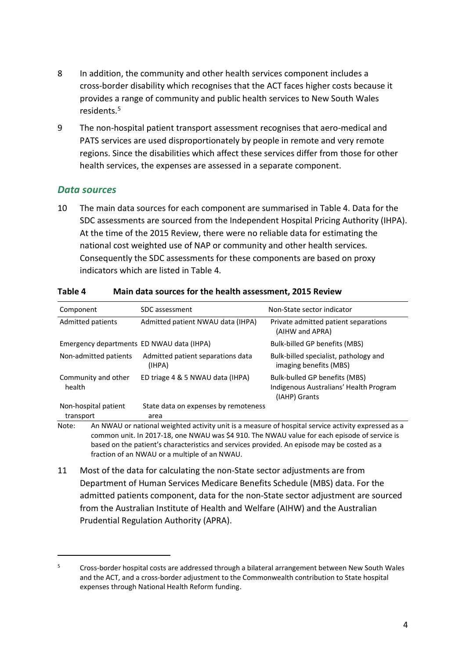- 8 In addition, the community and other health services component includes a cross-border disability which recognises that the ACT faces higher costs because it provides a range of community and public health services to New South Wales residents<sup>5</sup>
- 9 The non-hospital patient transport assessment recognises that aero-medical and PATS services are used disproportionately by people in remote and very remote regions. Since the disabilities which affect these services differ from those for other health services, the expenses are assessed in a separate component.

#### *Data sources*

 $\overline{a}$ 

10 The main data sources for each component are summarised in [Table 4.](#page-6-0) Data for the SDC assessments are sourced from the Independent Hospital Pricing Authority (IHPA). At the time of the 2015 Review, there were no reliable data for estimating the national cost weighted use of NAP or community and other health services. Consequently the SDC assessments for these components are based on proxy indicators which are listed in [Table 4.](#page-6-0)

| Component                                                                                                                                                                                                                                                                                                   | SDC assessment                              | Non-State sector indicator                                                               |  |
|-------------------------------------------------------------------------------------------------------------------------------------------------------------------------------------------------------------------------------------------------------------------------------------------------------------|---------------------------------------------|------------------------------------------------------------------------------------------|--|
| Admitted patients                                                                                                                                                                                                                                                                                           | Admitted patient NWAU data (IHPA)           | Private admitted patient separations<br>(AIHW and APRA)                                  |  |
| Emergency departments ED NWAU data (IHPA)                                                                                                                                                                                                                                                                   |                                             | <b>Bulk-billed GP benefits (MBS)</b>                                                     |  |
| Non-admitted patients                                                                                                                                                                                                                                                                                       | Admitted patient separations data<br>(IHPA) | Bulk-billed specialist, pathology and<br>imaging benefits (MBS)                          |  |
| Community and other<br>health                                                                                                                                                                                                                                                                               | ED triage 4 & 5 NWAU data (IHPA)            | Bulk-bulled GP benefits (MBS)<br>Indigenous Australians' Health Program<br>(IAHP) Grants |  |
| Non-hospital patient                                                                                                                                                                                                                                                                                        | State data on expenses by remoteness        |                                                                                          |  |
| transport                                                                                                                                                                                                                                                                                                   | area                                        |                                                                                          |  |
| An NWAU or national weighted activity unit is a measure of hospital service activity expressed as a<br>Note:<br>common unit. In 2017-18, one NWAU was \$4 910. The NWAU value for each episode of service is<br>based on the patient's characteristics and services provided. An episode may be costed as a |                                             |                                                                                          |  |

#### <span id="page-6-0"></span>**Table 4 Main data sources for the health assessment, 2015 Review**

fraction of an NWAU or a multiple of an NWAU.

11 Most of the data for calculating the non-State sector adjustments are from Department of Human Services Medicare Benefits Schedule (MBS) data. For the admitted patients component, data for the non-State sector adjustment are sourced from the Australian Institute of Health and Welfare (AIHW) and the Australian Prudential Regulation Authority (APRA).

<span id="page-6-1"></span><sup>&</sup>lt;sup>5</sup> Cross-border hospital costs are addressed through a bilateral arrangement between New South Wales and the ACT, and a cross-border adjustment to the Commonwealth contribution to State hospital expenses through National Health Reform funding.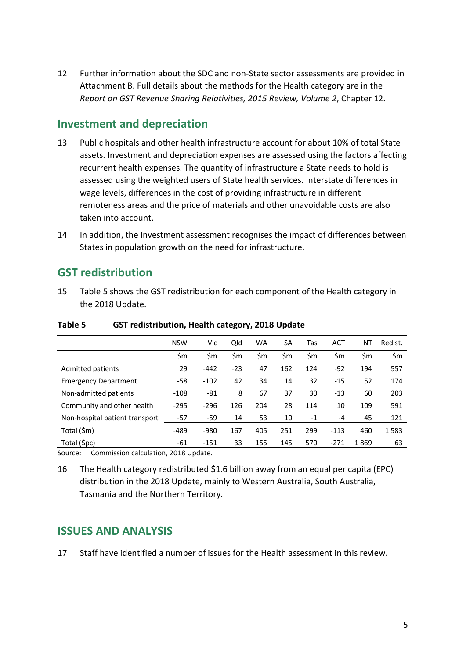12 Further information about the SDC and non-State sector assessments are provided in Attachment B. Full details about the methods for the Health category are in the *Report on GST Revenue Sharing Relativities, 2015 Review, Volume 2*, Chapter 12.

# <span id="page-7-0"></span>**Investment and depreciation**

- 13 Public hospitals and other health infrastructure account for about 10% of total State assets. Investment and depreciation expenses are assessed using the factors affecting recurrent health expenses. The quantity of infrastructure a State needs to hold is assessed using the weighted users of State health services. Interstate differences in wage levels, differences in the cost of providing infrastructure in different remoteness areas and the price of materials and other unavoidable costs are also taken into account.
- 14 In addition, the Investment assessment recognises the impact of differences between States in population growth on the need for infrastructure.

## <span id="page-7-1"></span>**GST redistribution**

15 [Table 5](#page-7-3) shows the GST redistribution for each component of the Health category in the 2018 Update.

|                                | <b>NSW</b> | Vic    | Qld   | <b>WA</b> | SA  | Tas  | <b>ACT</b> | ΝT   | Redist. |
|--------------------------------|------------|--------|-------|-----------|-----|------|------------|------|---------|
|                                | \$m        | \$m    | \$m   | \$m       | \$m | \$m  | \$m        | \$m  | \$m     |
| Admitted patients              | 29         | $-442$ | $-23$ | 47        | 162 | 124  | $-92$      | 194  | 557     |
| <b>Emergency Department</b>    | $-58$      | $-102$ | 42    | 34        | 14  | 32   | $-15$      | 52   | 174     |
| Non-admitted patients          | -108       | -81    | 8     | 67        | 37  | 30   | $-13$      | 60   | 203     |
| Community and other health     | $-295$     | $-296$ | 126   | 204       | 28  | 114  | 10         | 109  | 591     |
| Non-hospital patient transport | $-57$      | $-59$  | 14    | 53        | 10  | $-1$ | $-4$       | 45   | 121     |
| Total (\$m)                    | $-489$     | $-980$ | 167   | 405       | 251 | 299  | $-113$     | 460  | 1583    |
| Total (\$pc)                   | -61        | $-151$ | 33    | 155       | 145 | 570  | $-271$     | 1869 | 63      |

#### <span id="page-7-3"></span>**Table 5 GST redistribution, Health category, 2018 Update**

Source: Commission calculation, 2018 Update.

16 The Health category redistributed \$1.6 billion away from an equal per capita (EPC) distribution in the 2018 Update, mainly to Western Australia, South Australia, Tasmania and the Northern Territory.

## <span id="page-7-2"></span>**ISSUES AND ANALYSIS**

17 Staff have identified a number of issues for the Health assessment in this review.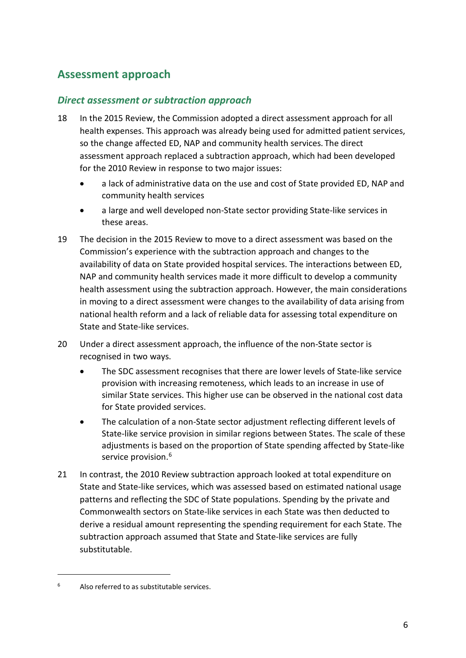# <span id="page-8-0"></span>**Assessment approach**

### *Direct assessment or subtraction approach*

- 18 In the 2015 Review, the Commission adopted a direct assessment approach for all health expenses. This approach was already being used for admitted patient services, so the change affected ED, NAP and community health services. The direct assessment approach replaced a subtraction approach, which had been developed for the 2010 Review in response to two major issues:
	- a lack of administrative data on the use and cost of State provided ED, NAP and community health services
	- a large and well developed non-State sector providing State-like services in these areas.
- 19 The decision in the 2015 Review to move to a direct assessment was based on the Commission's experience with the subtraction approach and changes to the availability of data on State provided hospital services. The interactions between ED, NAP and community health services made it more difficult to develop a community health assessment using the subtraction approach. However, the main considerations in moving to a direct assessment were changes to the availability of data arising from national health reform and a lack of reliable data for assessing total expenditure on State and State-like services.
- 20 Under a direct assessment approach, the influence of the non-State sector is recognised in two ways.
	- The SDC assessment recognises that there are lower levels of State-like service provision with increasing remoteness, which leads to an increase in use of similar State services. This higher use can be observed in the national cost data for State provided services.
	- The calculation of a non-State sector adjustment reflecting different levels of State-like service provision in similar regions between States. The scale of these adjustments is based on the proportion of State spending affected by State-like service provision. [6](#page-8-1)
- 21 In contrast, the 2010 Review subtraction approach looked at total expenditure on State and State-like services, which was assessed based on estimated national usage patterns and reflecting the SDC of State populations. Spending by the private and Commonwealth sectors on State-like services in each State was then deducted to derive a residual amount representing the spending requirement for each State. The subtraction approach assumed that State and State-like services are fully substitutable.

<span id="page-8-1"></span> $6$  Also referred to as substitutable services.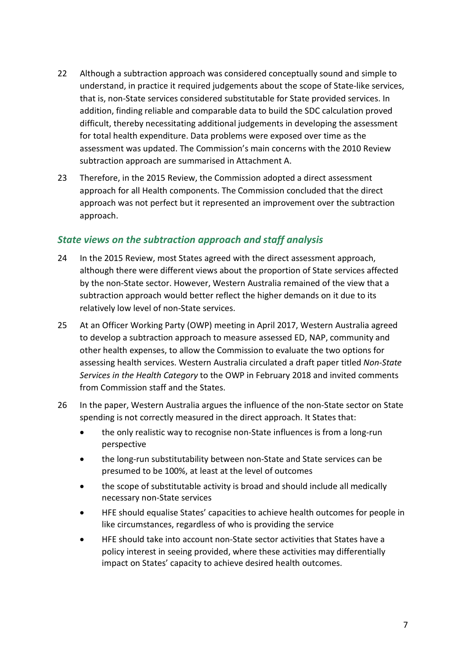- 22 Although a subtraction approach was considered conceptually sound and simple to understand, in practice it required judgements about the scope of State-like services, that is, non-State services considered substitutable for State provided services. In addition, finding reliable and comparable data to build the SDC calculation proved difficult, thereby necessitating additional judgements in developing the assessment for total health expenditure. Data problems were exposed over time as the assessment was updated. The Commission's main concerns with the 2010 Review subtraction approach are summarised in Attachment A.
- 23 Therefore, in the 2015 Review, the Commission adopted a direct assessment approach for all Health components. The Commission concluded that the direct approach was not perfect but it represented an improvement over the subtraction approach.

### *State views on the subtraction approach and staff analysis*

- 24 In the 2015 Review, most States agreed with the direct assessment approach, although there were different views about the proportion of State services affected by the non-State sector. However, Western Australia remained of the view that a subtraction approach would better reflect the higher demands on it due to its relatively low level of non-State services.
- 25 At an Officer Working Party (OWP) meeting in April 2017, Western Australia agreed to develop a subtraction approach to measure assessed ED, NAP, community and other health expenses, to allow the Commission to evaluate the two options for assessing health services. Western Australia circulated a draft paper titled *Non-State Services in the Health Category* to the OWP in February 2018 and invited comments from Commission staff and the States.
- 26 In the paper, Western Australia argues the influence of the non-State sector on State spending is not correctly measured in the direct approach. It States that:
	- the only realistic way to recognise non-State influences is from a long-run perspective
	- the long-run substitutability between non-State and State services can be presumed to be 100%, at least at the level of outcomes
	- the scope of substitutable activity is broad and should include all medically necessary non-State services
	- HFE should equalise States' capacities to achieve health outcomes for people in like circumstances, regardless of who is providing the service
	- HFE should take into account non-State sector activities that States have a policy interest in seeing provided, where these activities may differentially impact on States' capacity to achieve desired health outcomes.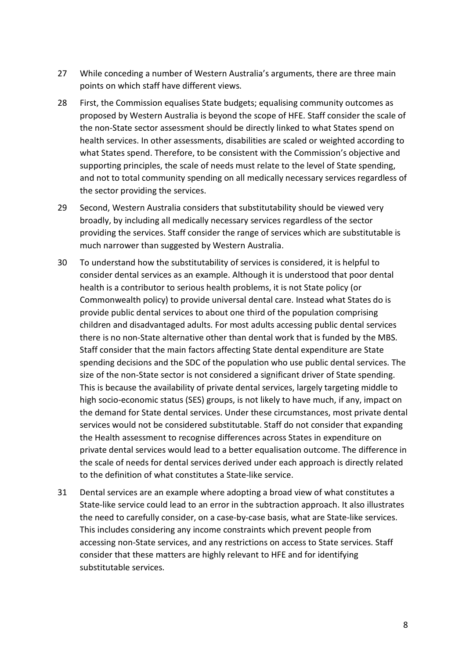- 27 While conceding a number of Western Australia's arguments, there are three main points on which staff have different views.
- 28 First, the Commission equalises State budgets; equalising community outcomes as proposed by Western Australia is beyond the scope of HFE. Staff consider the scale of the non-State sector assessment should be directly linked to what States spend on health services. In other assessments, disabilities are scaled or weighted according to what States spend. Therefore, to be consistent with the Commission's objective and supporting principles, the scale of needs must relate to the level of State spending, and not to total community spending on all medically necessary services regardless of the sector providing the services.
- 29 Second, Western Australia considers that substitutability should be viewed very broadly, by including all medically necessary services regardless of the sector providing the services. Staff consider the range of services which are substitutable is much narrower than suggested by Western Australia.
- 30 To understand how the substitutability of services is considered, it is helpful to consider dental services as an example. Although it is understood that poor dental health is a contributor to serious health problems, it is not State policy (or Commonwealth policy) to provide universal dental care. Instead what States do is provide public dental services to about one third of the population comprising children and disadvantaged adults. For most adults accessing public dental services there is no non-State alternative other than dental work that is funded by the MBS. Staff consider that the main factors affecting State dental expenditure are State spending decisions and the SDC of the population who use public dental services. The size of the non-State sector is not considered a significant driver of State spending. This is because the availability of private dental services, largely targeting middle to high socio-economic status (SES) groups, is not likely to have much, if any, impact on the demand for State dental services. Under these circumstances, most private dental services would not be considered substitutable. Staff do not consider that expanding the Health assessment to recognise differences across States in expenditure on private dental services would lead to a better equalisation outcome. The difference in the scale of needs for dental services derived under each approach is directly related to the definition of what constitutes a State-like service.
- 31 Dental services are an example where adopting a broad view of what constitutes a State-like service could lead to an error in the subtraction approach. It also illustrates the need to carefully consider, on a case-by-case basis, what are State-like services. This includes considering any income constraints which prevent people from accessing non-State services, and any restrictions on access to State services. Staff consider that these matters are highly relevant to HFE and for identifying substitutable services.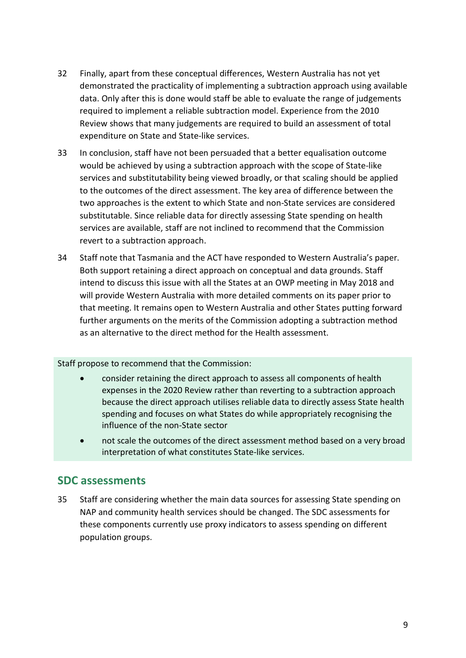- 32 Finally, apart from these conceptual differences, Western Australia has not yet demonstrated the practicality of implementing a subtraction approach using available data. Only after this is done would staff be able to evaluate the range of judgements required to implement a reliable subtraction model. Experience from the 2010 Review shows that many judgements are required to build an assessment of total expenditure on State and State-like services.
- 33 In conclusion, staff have not been persuaded that a better equalisation outcome would be achieved by using a subtraction approach with the scope of State-like services and substitutability being viewed broadly, or that scaling should be applied to the outcomes of the direct assessment. The key area of difference between the two approaches is the extent to which State and non-State services are considered substitutable. Since reliable data for directly assessing State spending on health services are available, staff are not inclined to recommend that the Commission revert to a subtraction approach.
- 34 Staff note that Tasmania and the ACT have responded to Western Australia's paper. Both support retaining a direct approach on conceptual and data grounds. Staff intend to discuss this issue with all the States at an OWP meeting in May 2018 and will provide Western Australia with more detailed comments on its paper prior to that meeting. It remains open to Western Australia and other States putting forward further arguments on the merits of the Commission adopting a subtraction method as an alternative to the direct method for the Health assessment.

Staff propose to recommend that the Commission:

- consider retaining the direct approach to assess all components of health expenses in the 2020 Review rather than reverting to a subtraction approach because the direct approach utilises reliable data to directly assess State health spending and focuses on what States do while appropriately recognising the influence of the non-State sector
- not scale the outcomes of the direct assessment method based on a very broad interpretation of what constitutes State-like services.

## <span id="page-11-0"></span>**SDC assessments**

35 Staff are considering whether the main data sources for assessing State spending on NAP and community health services should be changed. The SDC assessments for these components currently use proxy indicators to assess spending on different population groups.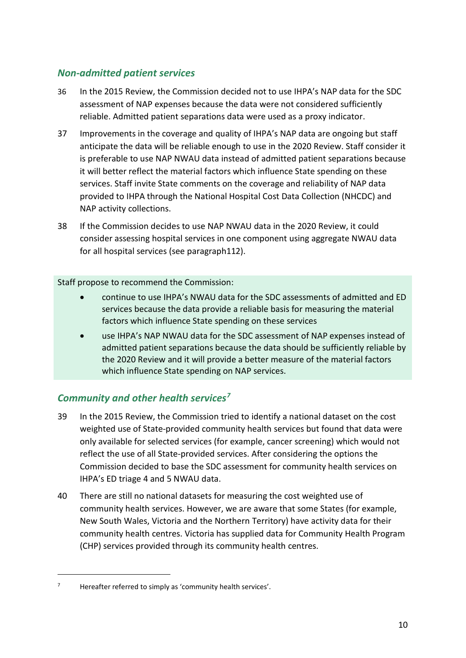### *Non-admitted patient services*

- 36 In the 2015 Review, the Commission decided not to use IHPA's NAP data for the SDC assessment of NAP expenses because the data were not considered sufficiently reliable. Admitted patient separations data were used as a proxy indicator.
- 37 Improvements in the coverage and quality of IHPA's NAP data are ongoing but staff anticipate the data will be reliable enough to use in the 2020 Review. Staff consider it is preferable to use NAP NWAU data instead of admitted patient separations because it will better reflect the material factors which influence State spending on these services. Staff invite State comments on the coverage and reliability of NAP data provided to IHPA through the National Hospital Cost Data Collection (NHCDC) and NAP activity collections.
- 38 If the Commission decides to use NAP NWAU data in the 2020 Review, it could consider assessing hospital services in one component using aggregate NWAU data for all hospital services (see paragrap[h112\)](#page-32-1).

Staff propose to recommend the Commission:

- continue to use IHPA's NWAU data for the SDC assessments of admitted and ED services because the data provide a reliable basis for measuring the material factors which influence State spending on these services
- use IHPA's NAP NWAU data for the SDC assessment of NAP expenses instead of admitted patient separations because the data should be sufficiently reliable by the 2020 Review and it will provide a better measure of the material factors which influence State spending on NAP services.

### *Community and other health services[7](#page-12-0)*

- 39 In the 2015 Review, the Commission tried to identify a national dataset on the cost weighted use of State-provided community health services but found that data were only available for selected services (for example, cancer screening) which would not reflect the use of all State-provided services. After considering the options the Commission decided to base the SDC assessment for community health services on IHPA's ED triage 4 and 5 NWAU data.
- 40 There are still no national datasets for measuring the cost weighted use of community health services. However, we are aware that some States (for example, New South Wales, Victoria and the Northern Territory) have activity data for their community health centres. Victoria has supplied data for Community Health Program (CHP) services provided through its community health centres.

<span id="page-12-0"></span> $7$  Hereafter referred to simply as 'community health services'.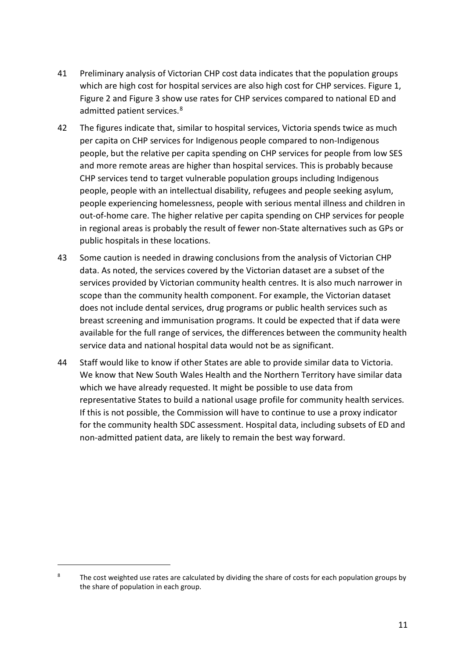- 41 Preliminary analysis of Victorian CHP cost data indicates that the population groups which are high cost for hospital services are also high cost for CHP services. [Figure 1,](#page-14-0) [Figure 2](#page-14-1) and [Figure 3](#page-15-1) show use rates for CHP services compared to national ED and admitted patient services.<sup>[8](#page-13-0)</sup>
- 42 The figures indicate that, similar to hospital services, Victoria spends twice as much per capita on CHP services for Indigenous people compared to non-Indigenous people, but the relative per capita spending on CHP services for people from low SES and more remote areas are higher than hospital services. This is probably because CHP services tend to target vulnerable population groups including Indigenous people, people with an intellectual disability, refugees and people seeking asylum, people experiencing homelessness, people with serious mental illness and children in out-of-home care. The higher relative per capita spending on CHP services for people in regional areas is probably the result of fewer non-State alternatives such as GPs or public hospitals in these locations.
- 43 Some caution is needed in drawing conclusions from the analysis of Victorian CHP data. As noted, the services covered by the Victorian dataset are a subset of the services provided by Victorian community health centres. It is also much narrower in scope than the community health component. For example, the Victorian dataset does not include dental services, drug programs or public health services such as breast screening and immunisation programs. It could be expected that if data were available for the full range of services, the differences between the community health service data and national hospital data would not be as significant.
- 44 Staff would like to know if other States are able to provide similar data to Victoria. We know that New South Wales Health and the Northern Territory have similar data which we have already requested. It might be possible to use data from representative States to build a national usage profile for community health services. If this is not possible, the Commission will have to continue to use a proxy indicator for the community health SDC assessment. Hospital data, including subsets of ED and non-admitted patient data, are likely to remain the best way forward.

<span id="page-13-0"></span><sup>&</sup>lt;sup>8</sup> The cost weighted use rates are calculated by dividing the share of costs for each population groups by the share of population in each group.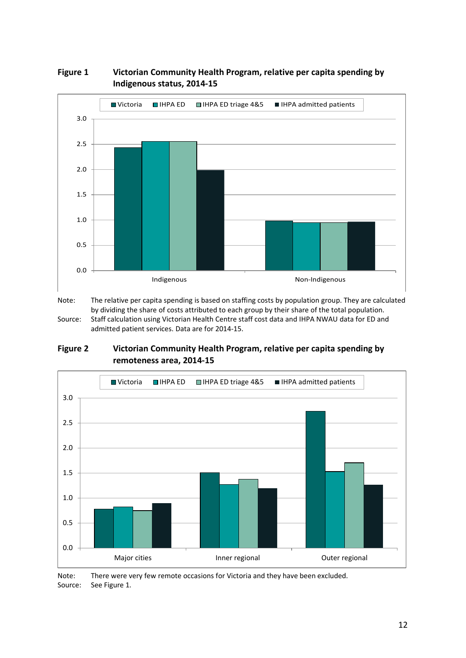

#### <span id="page-14-0"></span>**Figure 1 Victorian Community Health Program, relative per capita spending by Indigenous status, 2014-15**

Note: The relative per capita spending is based on staffing costs by population group. They are calculated by dividing the share of costs attributed to each group by their share of the total population. Source: Staff calculation using Victorian Health Centre staff cost data and IHPA NWAU data for ED and admitted patient services. Data are for 2014-15.

#### <span id="page-14-1"></span>**Figure 2 Victorian Community Health Program, relative per capita spending by remoteness area, 2014-15**



Note: There were very few remote occasions for Victoria and they have been excluded. Source: See [Figure 1.](#page-14-0)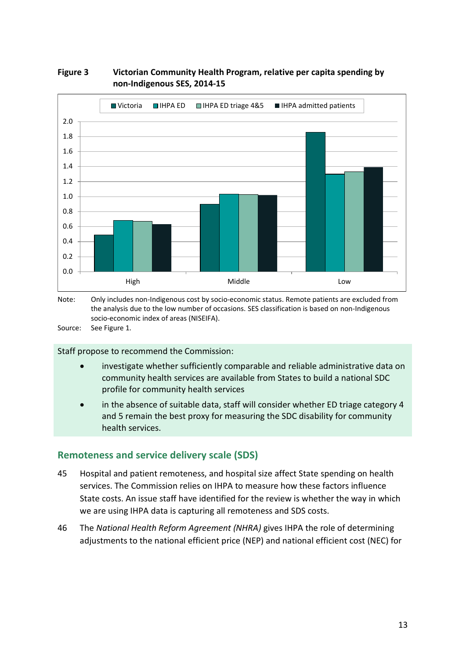

#### <span id="page-15-1"></span>**Figure 3 Victorian Community Health Program, relative per capita spending by non-Indigenous SES, 2014-15**

the analysis due to the low number of occasions. SES classification is based on non-Indigenous socio-economic index of areas (NISEIFA).

Source: See [Figure 1.](#page-14-0)

Staff propose to recommend the Commission:

- investigate whether sufficiently comparable and reliable administrative data on community health services are available from States to build a national SDC profile for community health services
- in the absence of suitable data, staff will consider whether ED triage category 4 and 5 remain the best proxy for measuring the SDC disability for community health services.

### <span id="page-15-0"></span>**Remoteness and service delivery scale (SDS)**

- 45 Hospital and patient remoteness, and hospital size affect State spending on health services. The Commission relies on IHPA to measure how these factors influence State costs. An issue staff have identified for the review is whether the way in which we are using IHPA data is capturing all remoteness and SDS costs.
- 46 The *National Health Reform Agreement (NHRA)* gives IHPA the role of determining adjustments to the national efficient price (NEP) and national efficient cost (NEC) for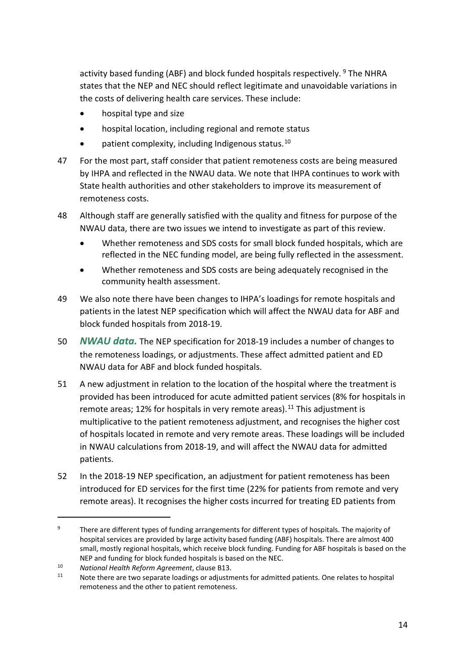activity based funding (ABF) and block funded hospitals respectively. <sup>[9](#page-16-0)</sup> The NHRA states that the NEP and NEC should reflect legitimate and unavoidable variations in the costs of delivering health care services. These include:

- hospital type and size
- hospital location, including regional and remote status
- patient complexity, including Indigenous status. $10$
- 47 For the most part, staff consider that patient remoteness costs are being measured by IHPA and reflected in the NWAU data. We note that IHPA continues to work with State health authorities and other stakeholders to improve its measurement of remoteness costs.
- 48 Although staff are generally satisfied with the quality and fitness for purpose of the NWAU data, there are two issues we intend to investigate as part of this review.
	- Whether remoteness and SDS costs for small block funded hospitals, which are reflected in the NEC funding model, are being fully reflected in the assessment.
	- Whether remoteness and SDS costs are being adequately recognised in the community health assessment.
- 49 We also note there have been changes to IHPA's loadings for remote hospitals and patients in the latest NEP specification which will affect the NWAU data for ABF and block funded hospitals from 2018-19.
- 50 *NWAU data.* The NEP specification for 2018-19 includes a number of changes to the remoteness loadings, or adjustments. These affect admitted patient and ED NWAU data for ABF and block funded hospitals.
- 51 A new adjustment in relation to the location of the hospital where the treatment is provided has been introduced for acute admitted patient services (8% for hospitals in remote areas; 12% for hospitals in very remote areas).<sup>[11](#page-16-2)</sup> This adjustment is multiplicative to the patient remoteness adjustment, and recognises the higher cost of hospitals located in remote and very remote areas. These loadings will be included in NWAU calculations from 2018-19, and will affect the NWAU data for admitted patients.
- 52 In the 2018-19 NEP specification, an adjustment for patient remoteness has been introduced for ED services for the first time (22% for patients from remote and very remote areas). It recognises the higher costs incurred for treating ED patients from

<span id="page-16-0"></span><sup>&</sup>lt;sup>9</sup> There are different types of funding arrangements for different types of hospitals. The majority of hospital services are provided by large activity based funding (ABF) hospitals. There are almost 400 small, mostly regional hospitals, which receive block funding. Funding for ABF hospitals is based on the NEP and funding for block funded hospitals is based on the NEC.

<span id="page-16-1"></span><sup>10</sup> *National Health Reform Agreement*, clause B13.

<span id="page-16-2"></span>Note there are two separate loadings or adjustments for admitted patients. One relates to hospital remoteness and the other to patient remoteness.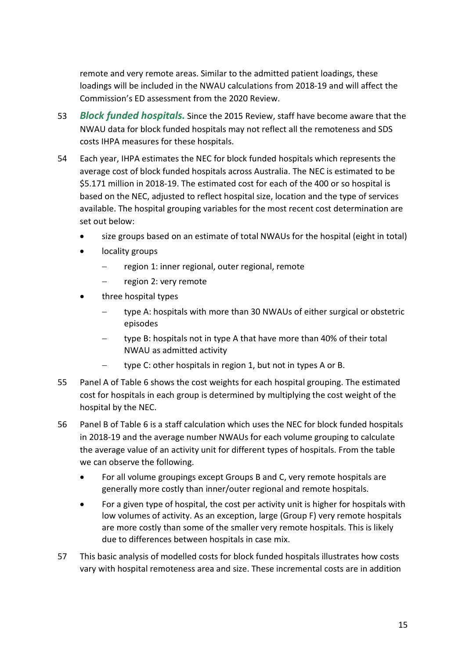remote and very remote areas. Similar to the admitted patient loadings, these loadings will be included in the NWAU calculations from 2018-19 and will affect the Commission's ED assessment from the 2020 Review.

- 53 *Block funded hospitals.* Since the 2015 Review, staff have become aware that the NWAU data for block funded hospitals may not reflect all the remoteness and SDS costs IHPA measures for these hospitals.
- 54 Each year, IHPA estimates the NEC for block funded hospitals which represents the average cost of block funded hospitals across Australia. The NEC is estimated to be \$5.171 million in 2018-19. The estimated cost for each of the 400 or so hospital is based on the NEC, adjusted to reflect hospital size, location and the type of services available. The hospital grouping variables for the most recent cost determination are set out below:
	- size groups based on an estimate of total NWAUs for the hospital (eight in total)
	- locality groups
		- region 1: inner regional, outer regional, remote
		- − region 2: very remote
	- three hospital types
		- type A: hospitals with more than 30 NWAUs of either surgical or obstetric episodes
		- type B: hospitals not in type A that have more than 40% of their total NWAU as admitted activity
		- − type C: other hospitals in region 1, but not in types A or B.
- 55 Panel A of [Table 6](#page-19-0) shows the cost weights for each hospital grouping. The estimated cost for hospitals in each group is determined by multiplying the cost weight of the hospital by the NEC.
- 56 Panel B o[f Table 6](#page-19-0) is a staff calculation which uses the NEC for block funded hospitals in 2018-19 and the average number NWAUs for each volume grouping to calculate the average value of an activity unit for different types of hospitals. From the table we can observe the following.
	- For all volume groupings except Groups B and C, very remote hospitals are generally more costly than inner/outer regional and remote hospitals.
	- For a given type of hospital, the cost per activity unit is higher for hospitals with low volumes of activity. As an exception, large (Group F) very remote hospitals are more costly than some of the smaller very remote hospitals. This is likely due to differences between hospitals in case mix.
- 57 This basic analysis of modelled costs for block funded hospitals illustrates how costs vary with hospital remoteness area and size. These incremental costs are in addition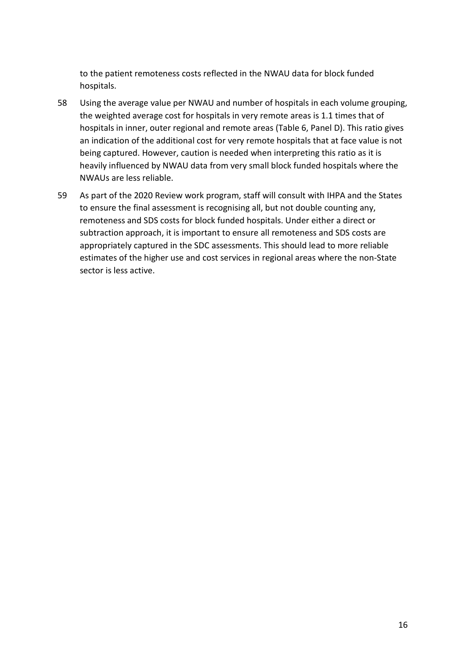to the patient remoteness costs reflected in the NWAU data for block funded hospitals.

- 58 Using the average value per NWAU and number of hospitals in each volume grouping, the weighted average cost for hospitals in very remote areas is 1.1 times that of hospitals in inner, outer regional and remote areas [\(Table 6,](#page-19-0) Panel D). This ratio gives an indication of the additional cost for very remote hospitals that at face value is not being captured. However, caution is needed when interpreting this ratio as it is heavily influenced by NWAU data from very small block funded hospitals where the NWAUs are less reliable.
- 59 As part of the 2020 Review work program, staff will consult with IHPA and the States to ensure the final assessment is recognising all, but not double counting any, remoteness and SDS costs for block funded hospitals. Under either a direct or subtraction approach, it is important to ensure all remoteness and SDS costs are appropriately captured in the SDC assessments. This should lead to more reliable estimates of the higher use and cost services in regional areas where the non-State sector is less active.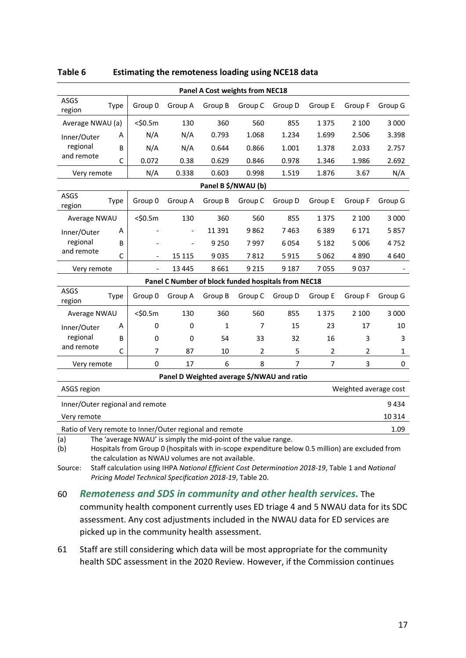| Panel A Cost weights from NEC18                                                                                                                                                  |              |                          |                          |                     |                |         |         |         |              |
|----------------------------------------------------------------------------------------------------------------------------------------------------------------------------------|--------------|--------------------------|--------------------------|---------------------|----------------|---------|---------|---------|--------------|
| ASGS<br>region                                                                                                                                                                   | Type         | Group 0                  | Group A                  | Group B             | Group C        | Group D | Group E | Group F | Group G      |
| Average NWAU (a)                                                                                                                                                                 |              | $<$ \$0.5m               | 130                      | 360                 | 560            | 855     | 1375    | 2 100   | 3 0 0 0      |
| Inner/Outer                                                                                                                                                                      | А            | N/A                      | N/A                      | 0.793               | 1.068          | 1.234   | 1.699   | 2.506   | 3.398        |
| regional                                                                                                                                                                         | B            | N/A                      | N/A                      | 0.644               | 0.866          | 1.001   | 1.378   | 2.033   | 2.757        |
| and remote                                                                                                                                                                       | $\mathsf{C}$ | 0.072                    | 0.38                     | 0.629               | 0.846          | 0.978   | 1.346   | 1.986   | 2.692        |
| Very remote                                                                                                                                                                      |              | N/A                      | 0.338                    | 0.603               | 0.998          | 1.519   | 1.876   | 3.67    | N/A          |
|                                                                                                                                                                                  |              |                          |                          | Panel B \$/NWAU (b) |                |         |         |         |              |
| ASGS<br>region                                                                                                                                                                   | Type         | Group 0                  | Group A                  | Group B             | Group C        | Group D | Group E | Group F | Group G      |
| Average NWAU                                                                                                                                                                     |              | $<$ \$0.5m               | 130                      | 360                 | 560            | 855     | 1375    | 2 100   | 3 000        |
| Inner/Outer                                                                                                                                                                      | A            |                          |                          | 11 3 9 1            | 9862           | 7463    | 6389    | 6 17 1  | 5857         |
| regional                                                                                                                                                                         | B            |                          | $\overline{\phantom{a}}$ | 9 2 5 0             | 7997           | 6054    | 5 1 8 2 | 5 0 0 6 | 4752         |
| and remote                                                                                                                                                                       | $\mathsf{C}$ | $\overline{\phantom{a}}$ | 15 1 15                  | 9035                | 7812           | 5915    | 5062    | 4890    | 4640         |
| Very remote                                                                                                                                                                      |              |                          | 13 4 45                  | 8661                | 9 2 1 5        | 9 1 8 7 | 7055    | 9037    |              |
| Panel C Number of block funded hospitals from NEC18                                                                                                                              |              |                          |                          |                     |                |         |         |         |              |
| ASGS<br>region                                                                                                                                                                   | <b>Type</b>  | Group 0                  | Group A                  | Group B             | Group C        | Group D | Group E | Group F | Group G      |
| Average NWAU                                                                                                                                                                     |              | $<$ \$0.5m               | 130                      | 360                 | 560            | 855     | 1375    | 2 100   | 3 0 0 0      |
| Inner/Outer                                                                                                                                                                      | A            | 0                        | 0                        | 1                   | 7              | 15      | 23      | 17      | 10           |
| regional                                                                                                                                                                         | B            | 0                        | 0                        | 54                  | 33             | 32      | 16      | 3       | 3            |
| and remote                                                                                                                                                                       | C            | 7                        | 87                       | 10                  | $\overline{2}$ | 5       | 2       | 2       | $\mathbf{1}$ |
| Very remote                                                                                                                                                                      |              | $\mathbf 0$              | 17                       | 6                   | 8              | 7       | 7       | 3       | 0            |
| Panel D Weighted average \$/NWAU and ratio                                                                                                                                       |              |                          |                          |                     |                |         |         |         |              |
| Weighted average cost<br>ASGS region                                                                                                                                             |              |                          |                          |                     |                |         |         |         |              |
| Inner/Outer regional and remote<br>9434                                                                                                                                          |              |                          |                          |                     |                |         |         |         |              |
| 10 3 14<br>Very remote                                                                                                                                                           |              |                          |                          |                     |                |         |         |         |              |
| Ratio of Very remote to Inner/Outer regional and remote                                                                                                                          |              |                          |                          |                     |                |         |         |         | 1.09         |
| The 'average NWAU' is simply the mid-point of the value range.<br>(a)<br>(b)<br>Hospitals from Group 0 (hospitals with in-scope expenditure below 0.5 million) are excluded from |              |                          |                          |                     |                |         |         |         |              |

#### <span id="page-19-0"></span>**Table 6 Estimating the remoteness loading using NCE18 data**

the calculation as NWAU volumes are not available. Source: Staff calculation using IHPA *[National Efficient Cost Determination 2018-19](https://www.ihpa.gov.au/publications/national-efficient-cost-determination-2018-19)*, Table 1 and *[National](https://www.ihpa.gov.au/publications/national-pricing-model-technical-specifications-2018-19)* 

*[Pricing Model Technical Specification 2018-19](https://www.ihpa.gov.au/publications/national-pricing-model-technical-specifications-2018-19)*, Table 20.

#### 60 *Remoteness and SDS in community and other health services.* The

community health component currently uses ED triage 4 and 5 NWAU data for its SDC assessment. Any cost adjustments included in the NWAU data for ED services are picked up in the community health assessment.

61 Staff are still considering which data will be most appropriate for the community health SDC assessment in the 2020 Review. However, if the Commission continues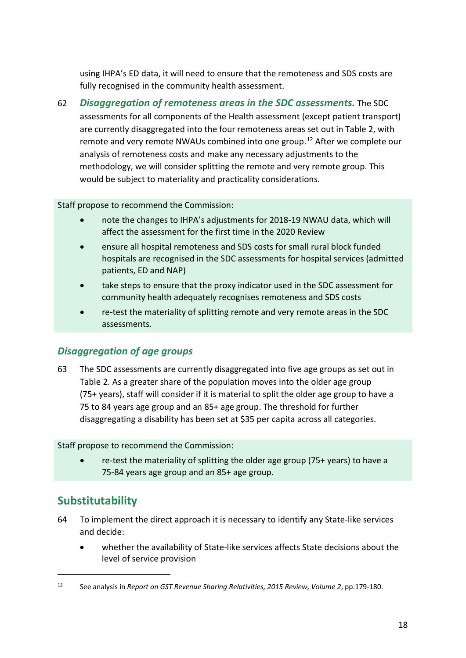using IHPA's ED data, it will need to ensure that the remoteness and SDS costs are fully recognised in the community health assessment.

62 *Disaggregation of remoteness areas in the SDC assessments.* The SDC assessments for all components of the Health assessment (except patient transport) are currently disaggregated into the four remoteness areas set out in [Table 2,](#page-5-1) with remote and very remote NWAUs combined into one group.[12](#page-20-1) After we complete our analysis of remoteness costs and make any necessary adjustments to the methodology, we will consider splitting the remote and very remote group. This would be subject to materiality and practicality considerations.

Staff propose to recommend the Commission:

- note the changes to IHPA's adjustments for 2018-19 NWAU data, which will affect the assessment for the first time in the 2020 Review
- ensure all hospital remoteness and SDS costs for small rural block funded hospitals are recognised in the SDC assessments for hospital services (admitted patients, ED and NAP)
- take steps to ensure that the proxy indicator used in the SDC assessment for community health adequately recognises remoteness and SDS costs
- re-test the materiality of splitting remote and very remote areas in the SDC assessments.

### *Disaggregation of age groups*

63 The SDC assessments are currently disaggregated into five age groups as set out in [Table 2.](#page-5-1) As a greater share of the population moves into the older age group (75+ years), staff will consider if it is material to split the older age group to have a 75 to 84 years age group and an 85+ age group. The threshold for further disaggregating a disability has been set at \$35 per capita across all categories.

Staff propose to recommend the Commission:

• re-test the materiality of splitting the older age group (75+ years) to have a 75-84 years age group and an 85+ age group.

# <span id="page-20-0"></span>**Substitutability**

- 64 To implement the direct approach it is necessary to identify any State-like services and decide:
	- whether the availability of State-like services affects State decisions about the level of service provision

<span id="page-20-1"></span><sup>12</sup> See analysis in *Report on GST Revenue Sharing Relativities, 2015 Review, Volume 2*, pp.179-180.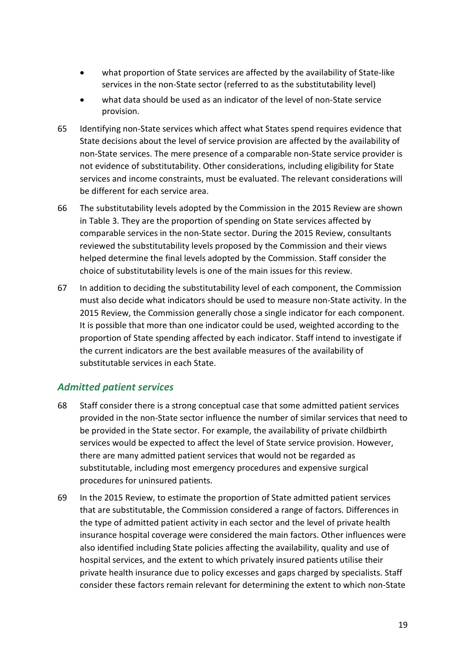- what proportion of State services are affected by the availability of State-like services in the non-State sector (referred to as the substitutability level)
- what data should be used as an indicator of the level of non-State service provision.
- 65 Identifying non-State services which affect what States spend requires evidence that State decisions about the level of service provision are affected by the availability of non-State services. The mere presence of a comparable non-State service provider is not evidence of substitutability. Other considerations, including eligibility for State services and income constraints, must be evaluated. The relevant considerations will be different for each service area.
- 66 The substitutability levels adopted by the Commission in the 2015 Review are shown in [Table 3.](#page-5-2) They are the proportion of spending on State services affected by comparable services in the non-State sector. During the 2015 Review, consultants reviewed the substitutability levels proposed by the Commission and their views helped determine the final levels adopted by the Commission. Staff consider the choice of substitutability levels is one of the main issues for this review.
- 67 In addition to deciding the substitutability level of each component, the Commission must also decide what indicators should be used to measure non-State activity. In the 2015 Review, the Commission generally chose a single indicator for each component. It is possible that more than one indicator could be used, weighted according to the proportion of State spending affected by each indicator. Staff intend to investigate if the current indicators are the best available measures of the availability of substitutable services in each State.

### *Admitted patient services*

- 68 Staff consider there is a strong conceptual case that some admitted patient services provided in the non-State sector influence the number of similar services that need to be provided in the State sector. For example, the availability of private childbirth services would be expected to affect the level of State service provision. However, there are many admitted patient services that would not be regarded as substitutable, including most emergency procedures and expensive surgical procedures for uninsured patients.
- 69 In the 2015 Review, to estimate the proportion of State admitted patient services that are substitutable, the Commission considered a range of factors. Differences in the type of admitted patient activity in each sector and the level of private health insurance hospital coverage were considered the main factors. Other influences were also identified including State policies affecting the availability, quality and use of hospital services, and the extent to which privately insured patients utilise their private health insurance due to policy excesses and gaps charged by specialists. Staff consider these factors remain relevant for determining the extent to which non-State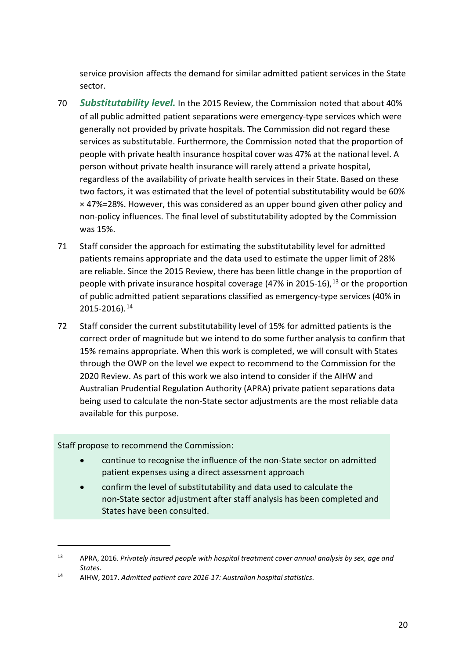service provision affects the demand for similar admitted patient services in the State sector.

- 70 *Substitutability level.* In the 2015 Review, the Commission noted that about 40% of all public admitted patient separations were emergency-type services which were generally not provided by private hospitals. The Commission did not regard these services as substitutable. Furthermore, the Commission noted that the proportion of people with private health insurance hospital cover was 47% at the national level. A person without private health insurance will rarely attend a private hospital, regardless of the availability of private health services in their State. Based on these two factors, it was estimated that the level of potential substitutability would be 60% × 47%=28%. However, this was considered as an upper bound given other policy and non-policy influences. The final level of substitutability adopted by the Commission was 15%.
- 71 Staff consider the approach for estimating the substitutability level for admitted patients remains appropriate and the data used to estimate the upper limit of 28% are reliable. Since the 2015 Review, there has been little change in the proportion of people with private insurance hospital coverage  $(47\%$  in 2015-16),  $^{13}$  $^{13}$  $^{13}$  or the proportion of public admitted patient separations classified as emergency-type services (40% in 2015-2016).[14](#page-22-1)
- 72 Staff consider the current substitutability level of 15% for admitted patients is the correct order of magnitude but we intend to do some further analysis to confirm that 15% remains appropriate. When this work is completed, we will consult with States through the OWP on the level we expect to recommend to the Commission for the 2020 Review. As part of this work we also intend to consider if the AIHW and Australian Prudential Regulation Authority (APRA) private patient separations data being used to calculate the non-State sector adjustments are the most reliable data available for this purpose.

Staff propose to recommend the Commission:

- continue to recognise the influence of the non-State sector on admitted patient expenses using a direct assessment approach
- confirm the level of substitutability and data used to calculate the non-State sector adjustment after staff analysis has been completed and States have been consulted.

<span id="page-22-0"></span><sup>13</sup> APRA, 2016. *Privately insured people with hospital treatment cover annual analysis by sex, age and States*. 14 AIHW, 2017. *Admitted patient care 2016-17: Australian hospital statistics*.

<span id="page-22-1"></span>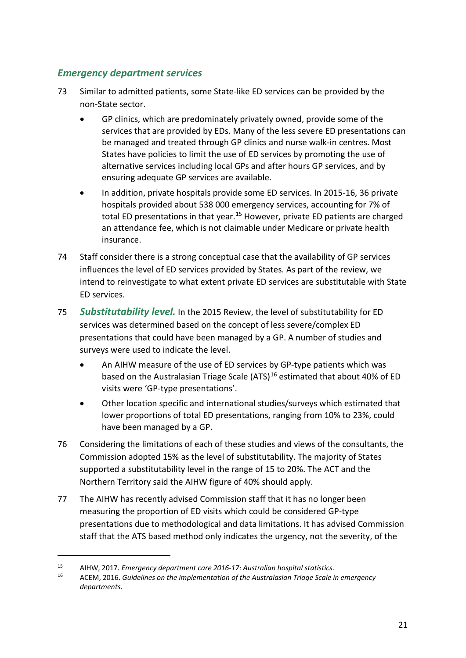### *Emergency department services*

- 73 Similar to admitted patients, some State-like ED services can be provided by the non-State sector.
	- GP clinics, which are predominately privately owned, provide some of the services that are provided by EDs. Many of the less severe ED presentations can be managed and treated through GP clinics and nurse walk-in centres. Most States have policies to limit the use of ED services by promoting the use of alternative services including local GPs and after hours GP services, and by ensuring adequate GP services are available.
	- In addition, private hospitals provide some ED services. In 2015-16, 36 private hospitals provided about 538 000 emergency services, accounting for 7% of total ED presentations in that year.<sup>[15](#page-23-0)</sup> However, private ED patients are charged an attendance fee, which is not claimable under Medicare or private health insurance.
- 74 Staff consider there is a strong conceptual case that the availability of GP services influences the level of ED services provided by States. As part of the review, we intend to reinvestigate to what extent private ED services are substitutable with State ED services.
- 75 *Substitutability level.* In the 2015 Review, the level of substitutability for ED services was determined based on the concept of less severe/complex ED presentations that could have been managed by a GP. A number of studies and surveys were used to indicate the level.
	- An AIHW measure of the use of ED services by GP-type patients which was based on the Australasian Triage Scale (ATS)<sup>[16](#page-23-1)</sup> estimated that about 40% of ED visits were 'GP-type presentations'.
	- Other location specific and international studies/surveys which estimated that lower proportions of total ED presentations, ranging from 10% to 23%, could have been managed by a GP.
- 76 Considering the limitations of each of these studies and views of the consultants, the Commission adopted 15% as the level of substitutability. The majority of States supported a substitutability level in the range of 15 to 20%. The ACT and the Northern Territory said the AIHW figure of 40% should apply.
- 77 The AIHW has recently advised Commission staff that it has no longer been measuring the proportion of ED visits which could be considered GP-type presentations due to methodological and data limitations. It has advised Commission staff that the ATS based method only indicates the urgency, not the severity, of the

<span id="page-23-1"></span><span id="page-23-0"></span><sup>&</sup>lt;sup>15</sup> AIHW, 2017. *Emergency department care 2016-17: Australian hospital statistics*.<br><sup>16</sup> ACEM, 2016. *Guidelines on the implementation of the Australasian Triage Scale in emergency departments*.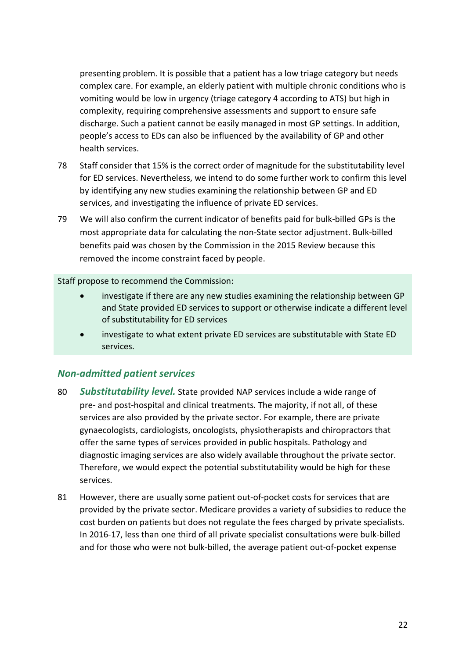presenting problem. It is possible that a patient has a low triage category but needs complex care. For example, an elderly patient with multiple chronic conditions who is vomiting would be low in urgency (triage category 4 according to ATS) but high in complexity, requiring comprehensive assessments and support to ensure safe discharge. Such a patient cannot be easily managed in most GP settings. In addition, people's access to EDs can also be influenced by the availability of GP and other health services.

- 78 Staff consider that 15% is the correct order of magnitude for the substitutability level for ED services. Nevertheless, we intend to do some further work to confirm this level by identifying any new studies examining the relationship between GP and ED services, and investigating the influence of private ED services.
- 79 We will also confirm the current indicator of benefits paid for bulk-billed GPs is the most appropriate data for calculating the non-State sector adjustment. Bulk-billed benefits paid was chosen by the Commission in the 2015 Review because this removed the income constraint faced by people.

Staff propose to recommend the Commission:

- investigate if there are any new studies examining the relationship between GP and State provided ED services to support or otherwise indicate a different level of substitutability for ED services
- investigate to what extent private ED services are substitutable with State ED services.

### *Non-admitted patient services*

- 80 *Substitutability level.* State provided NAP services include a wide range of pre- and post-hospital and clinical treatments. The majority, if not all, of these services are also provided by the private sector. For example, there are private gynaecologists, cardiologists, oncologists, physiotherapists and chiropractors that offer the same types of services provided in public hospitals. Pathology and diagnostic imaging services are also widely available throughout the private sector. Therefore, we would expect the potential substitutability would be high for these services.
- 81 However, there are usually some patient out-of-pocket costs for services that are provided by the private sector. Medicare provides a variety of subsidies to reduce the cost burden on patients but does not regulate the fees charged by private specialists. In 2016-17, less than one third of all private specialist consultations were bulk-billed and for those who were not bulk-billed, the average patient out-of-pocket expense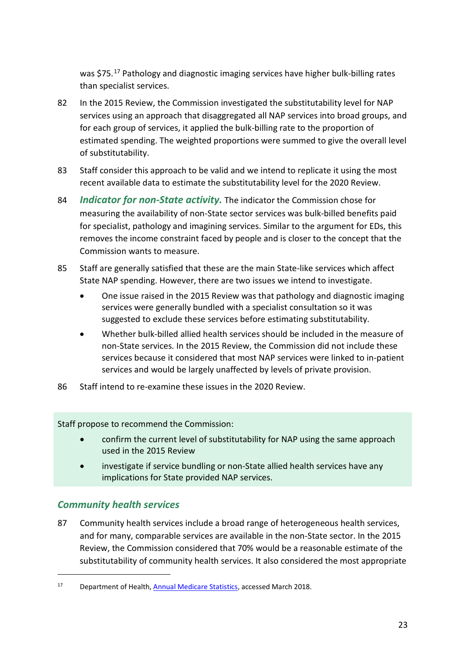was \$75.[17](#page-25-0) Pathology and diagnostic imaging services have higher bulk-billing rates than specialist services.

- 82 In the 2015 Review, the Commission investigated the substitutability level for NAP services using an approach that disaggregated all NAP services into broad groups, and for each group of services, it applied the bulk-billing rate to the proportion of estimated spending. The weighted proportions were summed to give the overall level of substitutability.
- 83 Staff consider this approach to be valid and we intend to replicate it using the most recent available data to estimate the substitutability level for the 2020 Review.
- 84 *Indicator for non-State activity.* The indicator the Commission chose for measuring the availability of non-State sector services was bulk-billed benefits paid for specialist, pathology and imagining services. Similar to the argument for EDs, this removes the income constraint faced by people and is closer to the concept that the Commission wants to measure.
- 85 Staff are generally satisfied that these are the main State-like services which affect State NAP spending. However, there are two issues we intend to investigate.
	- One issue raised in the 2015 Review was that pathology and diagnostic imaging services were generally bundled with a specialist consultation so it was suggested to exclude these services before estimating substitutability.
	- Whether bulk-billed allied health services should be included in the measure of non-State services. In the 2015 Review, the Commission did not include these services because it considered that most NAP services were linked to in-patient services and would be largely unaffected by levels of private provision.
- 86 Staff intend to re-examine these issues in the 2020 Review.

Staff propose to recommend the Commission:

- confirm the current level of substitutability for NAP using the same approach used in the 2015 Review
- investigate if service bundling or non-State allied health services have any implications for State provided NAP services.

### *Community health services*

 $\overline{a}$ 

87 Community health services include a broad range of heterogeneous health services, and for many, comparable services are available in the non-State sector. In the 2015 Review, the Commission considered that 70% would be a reasonable estimate of the substitutability of community health services. It also considered the most appropriate

<span id="page-25-0"></span><sup>&</sup>lt;sup>17</sup> Department of Health, [Annual Medicare Statistics,](http://health.gov.au/internet/main/publishing.nsf/Content/Annual-Medicare-Statistics) accessed March 2018.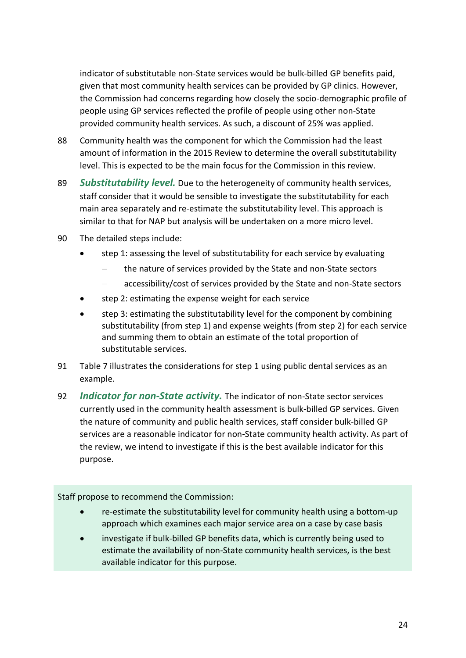indicator of substitutable non-State services would be bulk-billed GP benefits paid, given that most community health services can be provided by GP clinics. However, the Commission had concerns regarding how closely the socio-demographic profile of people using GP services reflected the profile of people using other non-State provided community health services. As such, a discount of 25% was applied.

- 88 Community health was the component for which the Commission had the least amount of information in the 2015 Review to determine the overall substitutability level. This is expected to be the main focus for the Commission in this review.
- 89 *Substitutability level.* Due to the heterogeneity of community health services, staff consider that it would be sensible to investigate the substitutability for each main area separately and re-estimate the substitutability level. This approach is similar to that for NAP but analysis will be undertaken on a more micro level.
- 90 The detailed steps include:
	- step 1: assessing the level of substitutability for each service by evaluating
		- the nature of services provided by the State and non-State sectors
		- accessibility/cost of services provided by the State and non-State sectors
	- step 2: estimating the expense weight for each service
	- step 3: estimating the substitutability level for the component by combining substitutability (from step 1) and expense weights (from step 2) for each service and summing them to obtain an estimate of the total proportion of substitutable services.
- 91 [Table 7](#page-27-0) illustrates the considerations for step 1 using public dental services as an example.
- 92 *Indicator for non-State activity.* The indicator of non-State sector services currently used in the community health assessment is bulk-billed GP services. Given the nature of community and public health services, staff consider bulk-billed GP services are a reasonable indicator for non-State community health activity. As part of the review, we intend to investigate if this is the best available indicator for this purpose.

Staff propose to recommend the Commission:

- re-estimate the substitutability level for community health using a bottom-up approach which examines each major service area on a case by case basis
- investigate if bulk-billed GP benefits data, which is currently being used to estimate the availability of non-State community health services, is the best available indicator for this purpose.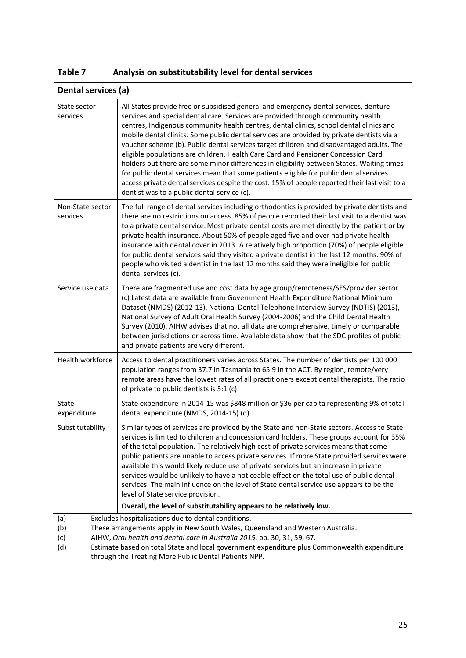<span id="page-27-0"></span>

| Table 7 | Analysis on substitutability level for dental services |
|---------|--------------------------------------------------------|
|---------|--------------------------------------------------------|

|                                                                                       | Dental services (a)                                                                                                                                                                                                                                                                                                                                                                                                                                                                                                                                                                                                                                                                                                                                                                                                                                                                      |  |  |  |  |
|---------------------------------------------------------------------------------------|------------------------------------------------------------------------------------------------------------------------------------------------------------------------------------------------------------------------------------------------------------------------------------------------------------------------------------------------------------------------------------------------------------------------------------------------------------------------------------------------------------------------------------------------------------------------------------------------------------------------------------------------------------------------------------------------------------------------------------------------------------------------------------------------------------------------------------------------------------------------------------------|--|--|--|--|
| State sector<br>services                                                              | All States provide free or subsidised general and emergency dental services, denture<br>services and special dental care. Services are provided through community health<br>centres, Indigenous community health centres, dental clinics, school dental clinics and<br>mobile dental clinics. Some public dental services are provided by private dentists via a<br>voucher scheme (b). Public dental services target children and disadvantaged adults. The<br>eligible populations are children, Health Care Card and Pensioner Concession Card<br>holders but there are some minor differences in eligibility between States. Waiting times<br>for public dental services mean that some patients eligible for public dental services<br>access private dental services despite the cost. 15% of people reported their last visit to a<br>dentist was to a public dental service (c). |  |  |  |  |
| Non-State sector<br>services                                                          | The full range of dental services including orthodontics is provided by private dentists and<br>there are no restrictions on access. 85% of people reported their last visit to a dentist was<br>to a private dental service. Most private dental costs are met directly by the patient or by<br>private health insurance. About 50% of people aged five and over had private health<br>insurance with dental cover in 2013. A relatively high proportion (70%) of people eligible<br>for public dental services said they visited a private dentist in the last 12 months. 90% of<br>people who visited a dentist in the last 12 months said they were ineligible for public<br>dental services (c).                                                                                                                                                                                    |  |  |  |  |
| Service use data                                                                      | There are fragmented use and cost data by age group/remoteness/SES/provider sector.<br>(c) Latest data are available from Government Health Expenditure National Minimum<br>Dataset (NMDS) (2012-13), National Dental Telephone Interview Survey (NDTIS) (2013),<br>National Survey of Adult Oral Health Survey (2004-2006) and the Child Dental Health<br>Survey (2010). AIHW advises that not all data are comprehensive, timely or comparable<br>between jurisdictions or across time. Available data show that the SDC profiles of public<br>and private patients are very different.                                                                                                                                                                                                                                                                                                |  |  |  |  |
| Health workforce                                                                      | Access to dental practitioners varies across States. The number of dentists per 100 000<br>population ranges from 37.7 in Tasmania to 65.9 in the ACT. By region, remote/very<br>remote areas have the lowest rates of all practitioners except dental therapists. The ratio<br>of private to public dentists is 5:1 (c).                                                                                                                                                                                                                                                                                                                                                                                                                                                                                                                                                                |  |  |  |  |
| State<br>expenditure                                                                  | State expenditure in 2014-15 was \$848 million or \$36 per capita representing 9% of total<br>dental expenditure (NMDS, 2014-15) (d).                                                                                                                                                                                                                                                                                                                                                                                                                                                                                                                                                                                                                                                                                                                                                    |  |  |  |  |
| Substitutability                                                                      | Similar types of services are provided by the State and non-State sectors. Access to State<br>services is limited to children and concession card holders. These groups account for 35%<br>of the total population. The relatively high cost of private services means that some<br>public patients are unable to access private services. If more State provided services were<br>available this would likely reduce use of private services but an increase in private<br>services would be unlikely to have a noticeable effect on the total use of public dental<br>services. The main influence on the level of State dental service use appears to be the<br>level of State service provision.<br>Overall, the level of substitutability appears to be relatively low.                                                                                                             |  |  |  |  |
| (a)                                                                                   | Excludes hospitalisations due to dental conditions.                                                                                                                                                                                                                                                                                                                                                                                                                                                                                                                                                                                                                                                                                                                                                                                                                                      |  |  |  |  |
| These arrangements apply in New South Wales, Queensland and Western Australia.<br>(b) |                                                                                                                                                                                                                                                                                                                                                                                                                                                                                                                                                                                                                                                                                                                                                                                                                                                                                          |  |  |  |  |

(c) AIHW, *Oral health and dental care in Australia 2015*, pp. 30, 31, 59, 67.

(d) Estimate based on total State and local government expenditure plus Commonwealth expenditure through the Treating More Public Dental Patients NPP.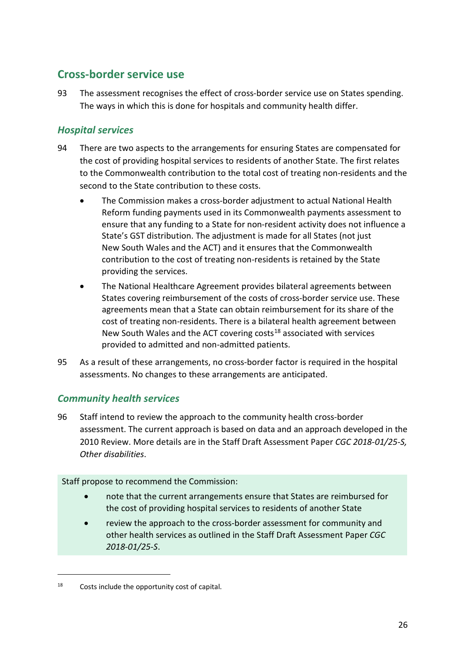# <span id="page-28-0"></span>**Cross-border service use**

93 The assessment recognises the effect of cross-border service use on States spending. The ways in which this is done for hospitals and community health differ.

### *Hospital services*

- 94 There are two aspects to the arrangements for ensuring States are compensated for the cost of providing hospital services to residents of another State. The first relates to the Commonwealth contribution to the total cost of treating non-residents and the second to the State contribution to these costs.
	- The Commission makes a cross-border adjustment to actual National Health Reform funding payments used in its Commonwealth payments assessment to ensure that any funding to a State for non-resident activity does not influence a State's GST distribution. The adjustment is made for all States (not just New South Wales and the ACT) and it ensures that the Commonwealth contribution to the cost of treating non-residents is retained by the State providing the services.
	- The National Healthcare Agreement provides bilateral agreements between States covering reimbursement of the costs of cross-border service use. These agreements mean that a State can obtain reimbursement for its share of the cost of treating non-residents. There is a bilateral health agreement between New South Wales and the ACT covering costs<sup>[18](#page-28-1)</sup> associated with services provided to admitted and non-admitted patients.
- 95 As a result of these arrangements, no cross-border factor is required in the hospital assessments. No changes to these arrangements are anticipated.

### *Community health services*

96 Staff intend to review the approach to the community health cross-border assessment. The current approach is based on data and an approach developed in the 2010 Review. More details are in the Staff Draft Assessment Paper *CGC 2018-01/25-S, Other disabilities*.

Staff propose to recommend the Commission:

- note that the current arrangements ensure that States are reimbursed for the cost of providing hospital services to residents of another State
- review the approach to the cross-border assessment for community and other health services as outlined in the Staff Draft Assessment Paper *CGC 2018-01/25-S*.

<span id="page-28-1"></span><sup>18</sup> Costs include the opportunity cost of capital.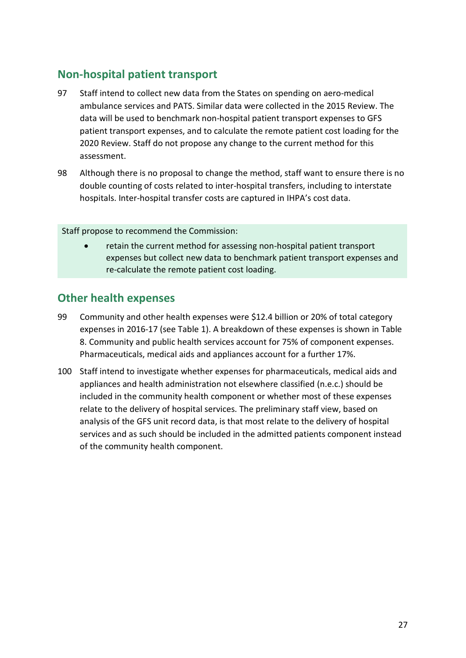# <span id="page-29-0"></span>**Non-hospital patient transport**

- 97 Staff intend to collect new data from the States on spending on aero-medical ambulance services and PATS. Similar data were collected in the 2015 Review. The data will be used to benchmark non-hospital patient transport expenses to GFS patient transport expenses, and to calculate the remote patient cost loading for the 2020 Review. Staff do not propose any change to the current method for this assessment.
- 98 Although there is no proposal to change the method, staff want to ensure there is no double counting of costs related to inter-hospital transfers, including to interstate hospitals. Inter-hospital transfer costs are captured in IHPA's cost data.

Staff propose to recommend the Commission:

• retain the current method for assessing non-hospital patient transport expenses but collect new data to benchmark patient transport expenses and re-calculate the remote patient cost loading.

# <span id="page-29-1"></span>**Other health expenses**

- 99 Community and other health expenses were \$12.4 billion or 20% of total category expenses in 2016-17 (see [Table 1\)](#page-4-1). A breakdown of these expenses is shown in [Table](#page-30-1)  [8.](#page-30-1) Community and public health services account for 75% of component expenses. Pharmaceuticals, medical aids and appliances account for a further 17%.
- 100 Staff intend to investigate whether expenses for pharmaceuticals, medical aids and appliances and health administration not elsewhere classified (n.e.c.) should be included in the community health component or whether most of these expenses relate to the delivery of hospital services. The preliminary staff view, based on analysis of the GFS unit record data, is that most relate to the delivery of hospital services and as such should be included in the admitted patients component instead of the community health component.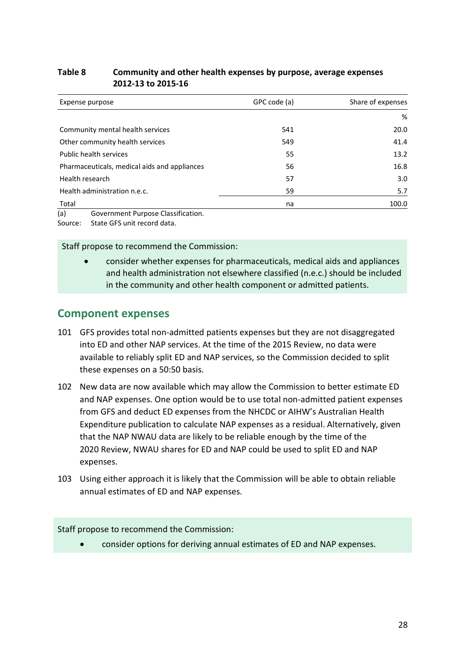#### <span id="page-30-1"></span>**Table 8 Community and other health expenses by purpose, average expenses 2012-13 to 2015-16**

| Expense purpose                              | GPC code (a) | Share of expenses |
|----------------------------------------------|--------------|-------------------|
|                                              |              | %                 |
| Community mental health services             | 541          | 20.0              |
| Other community health services              | 549          | 41.4              |
| Public health services                       | 55           | 13.2              |
| Pharmaceuticals, medical aids and appliances | 56           | 16.8              |
| Health research                              | 57           | 3.0               |
| Health administration n.e.c.                 | 59           | 5.7               |
| Total                                        | na           | 100.0             |
| (a)<br>Government Purpose Classification.    |              |                   |

Source: State GFS unit record data.

Staff propose to recommend the Commission:

• consider whether expenses for pharmaceuticals, medical aids and appliances and health administration not elsewhere classified (n.e.c.) should be included in the community and other health component or admitted patients.

### <span id="page-30-0"></span>**Component expenses**

- 101 GFS provides total non-admitted patients expenses but they are not disaggregated into ED and other NAP services. At the time of the 2015 Review, no data were available to reliably split ED and NAP services, so the Commission decided to split these expenses on a 50:50 basis.
- 102 New data are now available which may allow the Commission to better estimate ED and NAP expenses. One option would be to use total non-admitted patient expenses from GFS and deduct ED expenses from the NHCDC or AIHW's Australian Health Expenditure publication to calculate NAP expenses as a residual. Alternatively, given that the NAP NWAU data are likely to be reliable enough by the time of the 2020 Review, NWAU shares for ED and NAP could be used to split ED and NAP expenses.
- 103 Using either approach it is likely that the Commission will be able to obtain reliable annual estimates of ED and NAP expenses.

#### Staff propose to recommend the Commission:

• consider options for deriving annual estimates of ED and NAP expenses.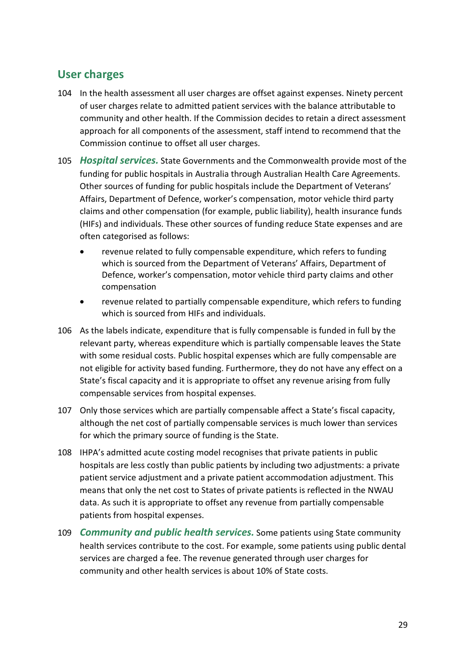## <span id="page-31-0"></span>**User charges**

- 104 In the health assessment all user charges are offset against expenses. Ninety percent of user charges relate to admitted patient services with the balance attributable to community and other health. If the Commission decides to retain a direct assessment approach for all components of the assessment, staff intend to recommend that the Commission continue to offset all user charges.
- 105 *Hospital services.* State Governments and the Commonwealth provide most of the funding for public hospitals in Australia through Australian Health Care Agreements. Other sources of funding for public hospitals include the Department of Veterans' Affairs, Department of Defence, worker's compensation, motor vehicle third party claims and other compensation (for example, public liability), health insurance funds (HIFs) and individuals. These other sources of funding reduce State expenses and are often categorised as follows:
	- revenue related to fully compensable expenditure, which refers to funding which is sourced from the Department of Veterans' Affairs, Department of Defence, worker's compensation, motor vehicle third party claims and other compensation
	- revenue related to partially compensable expenditure, which refers to funding which is sourced from HIFs and individuals.
- 106 As the labels indicate, expenditure that is fully compensable is funded in full by the relevant party, whereas expenditure which is partially compensable leaves the State with some residual costs. Public hospital expenses which are fully compensable are not eligible for activity based funding. Furthermore, they do not have any effect on a State's fiscal capacity and it is appropriate to offset any revenue arising from fully compensable services from hospital expenses.
- 107 Only those services which are partially compensable affect a State's fiscal capacity, although the net cost of partially compensable services is much lower than services for which the primary source of funding is the State.
- 108 IHPA's admitted acute costing model recognises that private patients in public hospitals are less costly than public patients by including two adjustments: a private patient service adjustment and a private patient accommodation adjustment. This means that only the net cost to States of private patients is reflected in the NWAU data. As such it is appropriate to offset any revenue from partially compensable patients from hospital expenses.
- 109 *Community and public health services.* Some patients using State community health services contribute to the cost. For example, some patients using public dental services are charged a fee. The revenue generated through user charges for community and other health services is about 10% of State costs.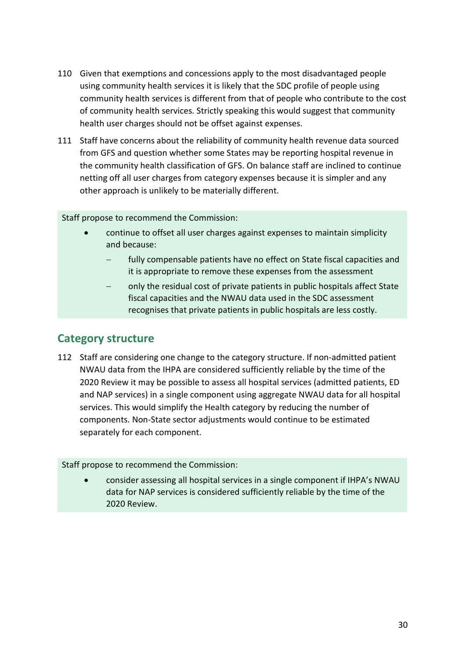- 110 Given that exemptions and concessions apply to the most disadvantaged people using community health services it is likely that the SDC profile of people using community health services is different from that of people who contribute to the cost of community health services. Strictly speaking this would suggest that community health user charges should not be offset against expenses.
- 111 Staff have concerns about the reliability of community health revenue data sourced from GFS and question whether some States may be reporting hospital revenue in the community health classification of GFS. On balance staff are inclined to continue netting off all user charges from category expenses because it is simpler and any other approach is unlikely to be materially different.

Staff propose to recommend the Commission:

- continue to offset all user charges against expenses to maintain simplicity and because:
	- fully compensable patients have no effect on State fiscal capacities and it is appropriate to remove these expenses from the assessment
	- only the residual cost of private patients in public hospitals affect State fiscal capacities and the NWAU data used in the SDC assessment recognises that private patients in public hospitals are less costly.

## <span id="page-32-0"></span>**Category structure**

<span id="page-32-1"></span>112 Staff are considering one change to the category structure. If non-admitted patient NWAU data from the IHPA are considered sufficiently reliable by the time of the 2020 Review it may be possible to assess all hospital services (admitted patients, ED and NAP services) in a single component using aggregate NWAU data for all hospital services. This would simplify the Health category by reducing the number of components. Non-State sector adjustments would continue to be estimated separately for each component.

Staff propose to recommend the Commission:

• consider assessing all hospital services in a single component if IHPA's NWAU data for NAP services is considered sufficiently reliable by the time of the 2020 Review.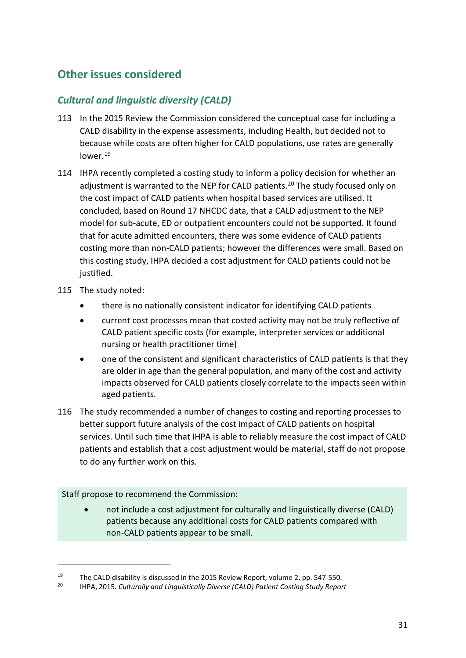# <span id="page-33-0"></span>**Other issues considered**

### *Cultural and linguistic diversity (CALD)*

- 113 In the 2015 Review the Commission considered the conceptual case for including a CALD disability in the expense assessments, including Health, but decided not to because while costs are often higher for CALD populations, use rates are generally lower[.19](#page-33-1)
- 114 IHPA recently completed a costing study to inform a policy decision for whether an adjustment is warranted to the NEP for CALD patients.<sup>[20](#page-33-2)</sup> The study focused only on the cost impact of CALD patients when hospital based services are utilised. It concluded, based on Round 17 NHCDC data, that a CALD adjustment to the NEP model for sub-acute, ED or outpatient encounters could not be supported. It found that for acute admitted encounters, there was some evidence of CALD patients costing more than non-CALD patients; however the differences were small. Based on this costing study, IHPA decided a cost adjustment for CALD patients could not be justified.
- 115 The study noted:

 $\overline{a}$ 

- there is no nationally consistent indicator for identifying CALD patients
- current cost processes mean that costed activity may not be truly reflective of CALD patient specific costs (for example, interpreter services or additional nursing or health practitioner time)
- one of the consistent and significant characteristics of CALD patients is that they are older in age than the general population, and many of the cost and activity impacts observed for CALD patients closely correlate to the impacts seen within aged patients.
- 116 The study recommended a number of changes to costing and reporting processes to better support future analysis of the cost impact of CALD patients on hospital services. Until such time that IHPA is able to reliably measure the cost impact of CALD patients and establish that a cost adjustment would be material, staff do not propose to do any further work on this.

#### Staff propose to recommend the Commission:

• not include a cost adjustment for culturally and linguistically diverse (CALD) patients because any additional costs for CALD patients compared with non-CALD patients appear to be small.

<span id="page-33-2"></span><span id="page-33-1"></span><sup>19</sup> The CALD disability is discussed in the 2015 Review Report, volume 2, pp. 547-550.<br>20 HDA 2015 Culturally and Linguistically Diverse (CALD) Betiant Cesting Study Benez

<sup>20</sup> IHPA, 2015. *Culturally and Linguistically Diverse (CALD) Patient Costing Study Report*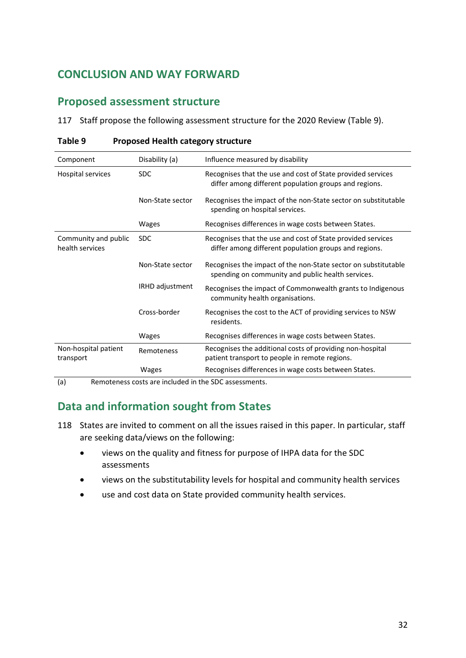# <span id="page-34-0"></span>**CONCLUSION AND WAY FORWARD**

### <span id="page-34-1"></span>**Proposed assessment structure**

117 Staff propose the following assessment structure for the 2020 Review [\(Table 9\)](#page-34-3).

| Disability (a)   | Influence measured by disability                                                                                     |
|------------------|----------------------------------------------------------------------------------------------------------------------|
| <b>SDC</b>       | Recognises that the use and cost of State provided services<br>differ among different population groups and regions. |
| Non-State sector | Recognises the impact of the non-State sector on substitutable<br>spending on hospital services.                     |
| Wages            | Recognises differences in wage costs between States.                                                                 |
| <b>SDC</b>       | Recognises that the use and cost of State provided services<br>differ among different population groups and regions. |
| Non-State sector | Recognises the impact of the non-State sector on substitutable<br>spending on community and public health services.  |
| IRHD adjustment  | Recognises the impact of Commonwealth grants to Indigenous<br>community health organisations.                        |
| Cross-border     | Recognises the cost to the ACT of providing services to NSW<br>residents.                                            |
| Wages            | Recognises differences in wage costs between States.                                                                 |
| Remoteness       | Recognises the additional costs of providing non-hospital<br>patient transport to people in remote regions.          |
| Wages            | Recognises differences in wage costs between States.                                                                 |
|                  |                                                                                                                      |

#### <span id="page-34-3"></span>**Table 9 Proposed Health category structure**

<span id="page-34-2"></span>(a) Remoteness costs are included in the SDC assessments.

## **Data and information sought from States**

- 118 States are invited to comment on all the issues raised in this paper. In particular, staff are seeking data/views on the following:
	- views on the quality and fitness for purpose of IHPA data for the SDC assessments
	- views on the substitutability levels for hospital and community health services
	- use and cost data on State provided community health services.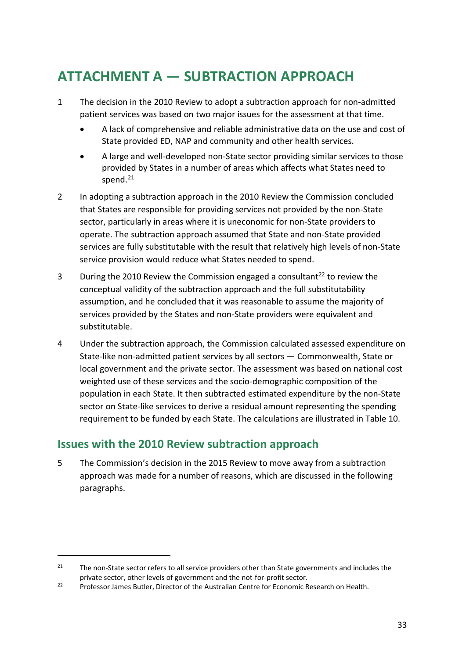# <span id="page-35-0"></span>**ATTACHMENT A — SUBTRACTION APPROACH**

- 1 The decision in the 2010 Review to adopt a subtraction approach for non-admitted patient services was based on two major issues for the assessment at that time.
	- A lack of comprehensive and reliable administrative data on the use and cost of State provided ED, NAP and community and other health services.
	- A large and well-developed non-State sector providing similar services to those provided by States in a number of areas which affects what States need to spend. $21$
- 2 In adopting a subtraction approach in the 2010 Review the Commission concluded that States are responsible for providing services not provided by the non-State sector, particularly in areas where it is uneconomic for non-State providers to operate. The subtraction approach assumed that State and non-State provided services are fully substitutable with the result that relatively high levels of non-State service provision would reduce what States needed to spend.
- 3 During the 2010 Review the Commission engaged a consultant<sup>22</sup> to review the conceptual validity of the subtraction approach and the full substitutability assumption, and he concluded that it was reasonable to assume the majority of services provided by the States and non-State providers were equivalent and substitutable.
- 4 Under the subtraction approach, the Commission calculated assessed expenditure on State-like non-admitted patient services by all sectors — Commonwealth, State or local government and the private sector. The assessment was based on national cost weighted use of these services and the socio-demographic composition of the population in each State. It then subtracted estimated expenditure by the non-State sector on State-like services to derive a residual amount representing the spending requirement to be funded by each State. The calculations are illustrated in [Table 10.](#page-36-0)

# **Issues with the 2010 Review subtraction approach**

 $\overline{a}$ 

5 The Commission's decision in the 2015 Review to move away from a subtraction approach was made for a number of reasons, which are discussed in the following paragraphs.

<span id="page-35-1"></span><sup>&</sup>lt;sup>21</sup> The non-State sector refers to all service providers other than State governments and includes the private sector, other levels of government and the not-for-profit sector.

<span id="page-35-2"></span><sup>&</sup>lt;sup>22</sup> Professor James Butler, Director of the Australian Centre for Economic Research on Health.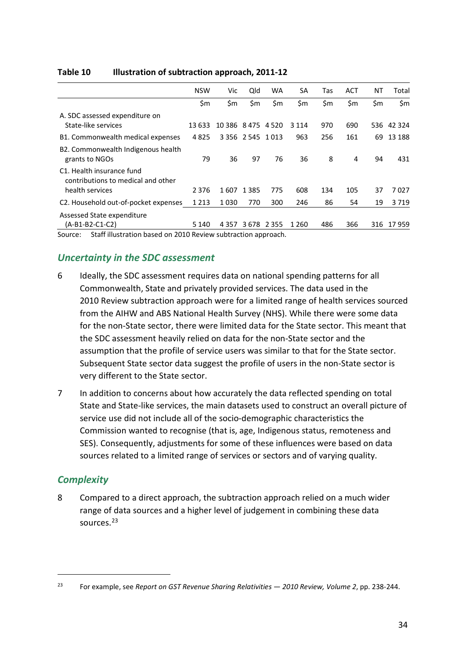|                                                                 | <b>NSW</b> | Vic                | Qld                     | <b>WA</b> | <b>SA</b> | Tas | <b>ACT</b> | NT  | Total      |
|-----------------------------------------------------------------|------------|--------------------|-------------------------|-----------|-----------|-----|------------|-----|------------|
|                                                                 | \$m        | \$m                | \$m                     | \$m       | \$m       | \$m | \$m        | \$m | \$m        |
| A. SDC assessed expenditure on                                  |            |                    |                         |           |           |     |            |     |            |
| State-like services                                             | 13 633     | 10 386 8 475 4 520 |                         |           | 3 1 1 4   | 970 | 690        |     | 536 42 324 |
| B1. Commonwealth medical expenses                               | 4825       |                    | 3 3 5 6 2 5 4 5 1 0 1 3 |           | 963       | 256 | 161        | 69  | 13 188     |
| B2. Commonwealth Indigenous health<br>grants to NGOs            | 79         | 36                 | 97                      | 76        | 36        | 8   | 4          | 94  | 431        |
| C1. Health insurance fund<br>contributions to medical and other |            |                    |                         |           |           |     |            |     |            |
| health services                                                 | 2 3 7 6    | 1607               | 1 3 8 5                 | 775       | 608       | 134 | 105        | 37  | 7027       |
| C2. Household out-of-pocket expenses                            | 1 2 1 3    | 1030               | 770                     | 300       | 246       | 86  | 54         | 19  | 3719       |
| Assessed State expenditure                                      |            |                    |                         |           |           |     |            |     |            |
| (A-B1-B2-C1-C2)                                                 | 5 1 4 0    | 4357               | 3678                    | 2 3 5 5   | 1 260     | 486 | 366        | 316 | 17959      |

#### <span id="page-36-0"></span>**Table 10 Illustration of subtraction approach, 2011-12**

Source: Staff illustration based on 2010 Review subtraction approach.

### *Uncertainty in the SDC assessment*

- 6 Ideally, the SDC assessment requires data on national spending patterns for all Commonwealth, State and privately provided services. The data used in the 2010 Review subtraction approach were for a limited range of health services sourced from the AIHW and ABS National Health Survey (NHS). While there were some data for the non-State sector, there were limited data for the State sector. This meant that the SDC assessment heavily relied on data for the non-State sector and the assumption that the profile of service users was similar to that for the State sector. Subsequent State sector data suggest the profile of users in the non-State sector is very different to the State sector.
- 7 In addition to concerns about how accurately the data reflected spending on total State and State-like services, the main datasets used to construct an overall picture of service use did not include all of the socio-demographic characteristics the Commission wanted to recognise (that is, age, Indigenous status, remoteness and SES). Consequently, adjustments for some of these influences were based on data sources related to a limited range of services or sectors and of varying quality.

### *Complexity*

 $\overline{a}$ 

8 Compared to a direct approach, the subtraction approach relied on a much wider range of data sources and a higher level of judgement in combining these data sources.<sup>[23](#page-36-1)</sup>

<span id="page-36-1"></span><sup>23</sup> For example, see *Report on GST Revenue Sharing Relativities — 2010 Review, Volume 2*, pp. 238-244.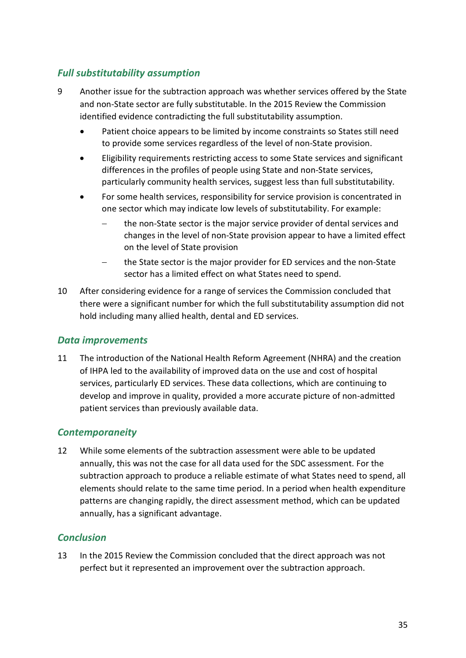### *Full substitutability assumption*

- 9 Another issue for the subtraction approach was whether services offered by the State and non-State sector are fully substitutable. In the 2015 Review the Commission identified evidence contradicting the full substitutability assumption.
	- Patient choice appears to be limited by income constraints so States still need to provide some services regardless of the level of non-State provision.
	- Eligibility requirements restricting access to some State services and significant differences in the profiles of people using State and non-State services, particularly community health services, suggest less than full substitutability.
	- For some health services, responsibility for service provision is concentrated in one sector which may indicate low levels of substitutability. For example:
		- − the non-State sector is the major service provider of dental services and changes in the level of non-State provision appear to have a limited effect on the level of State provision
		- − the State sector is the major provider for ED services and the non-State sector has a limited effect on what States need to spend.
- 10 After considering evidence for a range of services the Commission concluded that there were a significant number for which the full substitutability assumption did not hold including many allied health, dental and ED services.

### *Data improvements*

11 The introduction of the National Health Reform Agreement (NHRA) and the creation of IHPA led to the availability of improved data on the use and cost of hospital services, particularly ED services. These data collections, which are continuing to develop and improve in quality, provided a more accurate picture of non-admitted patient services than previously available data.

### *Contemporaneity*

12 While some elements of the subtraction assessment were able to be updated annually, this was not the case for all data used for the SDC assessment. For the subtraction approach to produce a reliable estimate of what States need to spend, all elements should relate to the same time period. In a period when health expenditure patterns are changing rapidly, the direct assessment method, which can be updated annually, has a significant advantage.

### *Conclusion*

13 In the 2015 Review the Commission concluded that the direct approach was not perfect but it represented an improvement over the subtraction approach.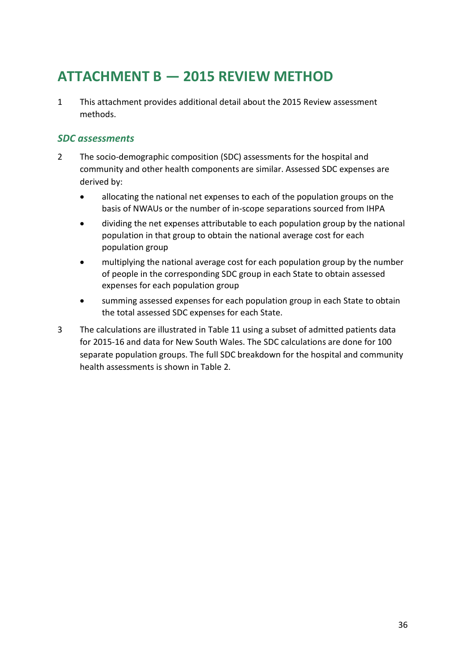# <span id="page-38-0"></span>**ATTACHMENT B — 2015 REVIEW METHOD**

1 This attachment provides additional detail about the 2015 Review assessment methods.

### *SDC assessments*

- 2 The socio-demographic composition (SDC) assessments for the hospital and community and other health components are similar. Assessed SDC expenses are derived by:
	- allocating the national net expenses to each of the population groups on the basis of NWAUs or the number of in-scope separations sourced from IHPA
	- dividing the net expenses attributable to each population group by the national population in that group to obtain the national average cost for each population group
	- multiplying the national average cost for each population group by the number of people in the corresponding SDC group in each State to obtain assessed expenses for each population group
	- summing assessed expenses for each population group in each State to obtain the total assessed SDC expenses for each State.
- 3 The calculations are illustrated in [Table 11](#page-39-0) using a subset of admitted patients data for 2015-16 and data for New South Wales. The SDC calculations are done for 100 separate population groups. The full SDC breakdown for the hospital and community health assessments is shown in [Table 2.](#page-5-1)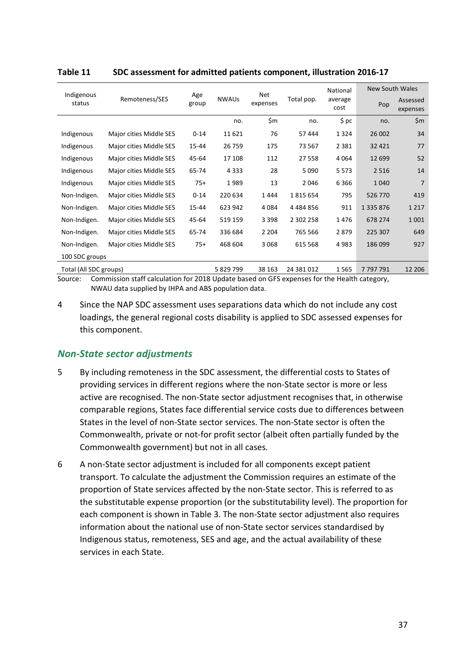| Indigenous             |                                                |          |                 |            | National        | <b>New South Wales</b> |                      |         |
|------------------------|------------------------------------------------|----------|-----------------|------------|-----------------|------------------------|----------------------|---------|
| status                 | Age<br><b>NWAUs</b><br>Remoteness/SES<br>group |          | Net<br>expenses | Total pop. | average<br>cost | Pop                    | Assessed<br>expenses |         |
|                        |                                                |          | no.             | \$m        | no.             | \$~pc                  | no.                  | \$m     |
| Indigenous             | Major cities Middle SES                        | $0 - 14$ | 11621           | 76         | 57 444          | 1 3 2 4                | 26 002               | 34      |
| Indigenous             | Major cities Middle SES                        | 15-44    | 26759           | 175        | 73 567          | 2 3 8 1                | 32 4 21              | 77      |
| Indigenous             | Major cities Middle SES                        | 45-64    | 17 108          | 112        | 27 558          | 4 0 6 4                | 12 699               | 52      |
| Indigenous             | Major cities Middle SES                        | 65-74    | 4 3 3 3         | 28         | 5 0 9 0         | 5 5 7 3                | 2516                 | 14      |
| Indigenous             | Major cities Middle SES                        | $75+$    | 1989            | 13         | 2046            | 6366                   | 1040                 | 7       |
| Non-Indigen.           | Major cities Middle SES                        | $0 - 14$ | 220 634         | 1444       | 1815654         | 795                    | 526 770              | 419     |
| Non-Indigen.           | Major cities Middle SES                        | 15-44    | 623 942         | 4 0 8 4    | 4484856         | 911                    | 1 3 3 5 8 7 6        | 1 2 1 7 |
| Non-Indigen.           | Major cities Middle SES                        | 45-64    | 519 159         | 3 3 9 8    | 2 302 258       | 1476                   | 678 274              | 1 0 0 1 |
| Non-Indigen.           | Major cities Middle SES                        | 65-74    | 336 684         | 2 2 0 4    | 765 566         | 2879                   | 225 307              | 649     |
| Non-Indigen.           | Major cities Middle SES                        | $75+$    | 468 604         | 3068       | 615 568         | 4983                   | 186 099              | 927     |
| 100 SDC groups         |                                                |          |                 |            |                 |                        |                      |         |
| Total (All SDC groups) |                                                |          | 5 829 799       | 38 163     | 24 381 012      | 1565                   | 7797791              | 12 206  |

#### <span id="page-39-0"></span>**Table 11 SDC assessment for admitted patients component, illustration 2016-17**

Source: Commission staff calculation for 2018 Update based on GFS expenses for the Health category, NWAU data supplied by IHPA and ABS population data.

4 Since the NAP SDC assessment uses separations data which do not include any cost loadings, the general regional costs disability is applied to SDC assessed expenses for this component.

### *Non-State sector adjustments*

- 5 By including remoteness in the SDC assessment, the differential costs to States of providing services in different regions where the non-State sector is more or less active are recognised. The non-State sector adjustment recognises that, in otherwise comparable regions, States face differential service costs due to differences between States in the level of non-State sector services. The non-State sector is often the Commonwealth, private or not-for profit sector (albeit often partially funded by the Commonwealth government) but not in all cases.
- 6 A non-State sector adjustment is included for all components except patient transport. To calculate the adjustment the Commission requires an estimate of the proportion of State services affected by the non-State sector. This is referred to as the substitutable expense proportion (or the substitutability level). The proportion for each component is shown in [Table 3.](#page-5-2) The non-State sector adjustment also requires information about the national use of non-State sector services standardised by Indigenous status, remoteness, SES and age, and the actual availability of these services in each State.